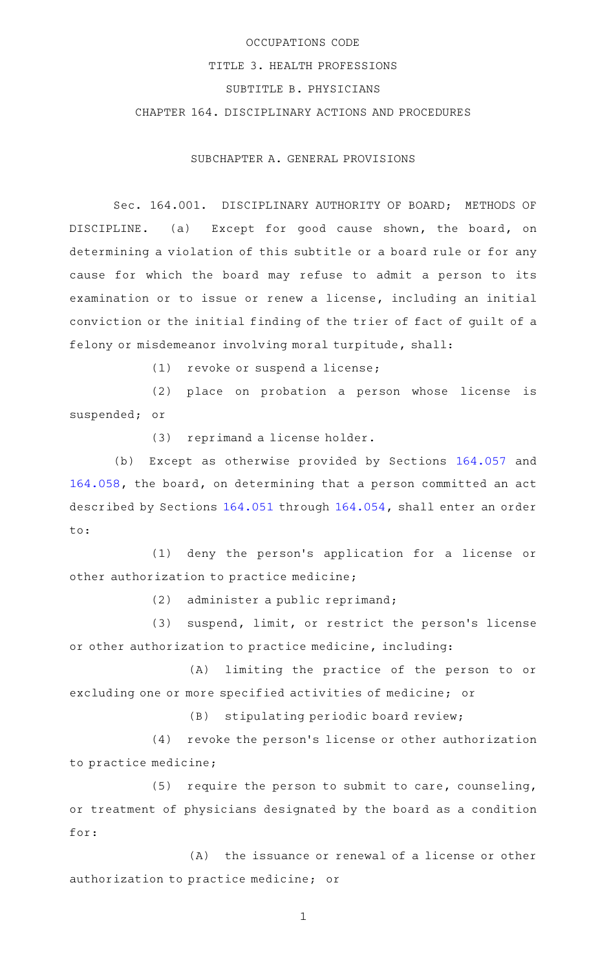# OCCUPATIONS CODE TITLE 3. HEALTH PROFESSIONS SUBTITLE B. PHYSICIANS CHAPTER 164. DISCIPLINARY ACTIONS AND PROCEDURES

SUBCHAPTER A. GENERAL PROVISIONS

Sec. 164.001. DISCIPLINARY AUTHORITY OF BOARD; METHODS OF DISCIPLINE. (a) Except for good cause shown, the board, on determining a violation of this subtitle or a board rule or for any cause for which the board may refuse to admit a person to its examination or to issue or renew a license, including an initial conviction or the initial finding of the trier of fact of guilt of a felony or misdemeanor involving moral turpitude, shall:

 $(1)$  revoke or suspend a license;

(2) place on probation a person whose license is suspended; or

(3) reprimand a license holder.

(b) Except as otherwise provided by Sections [164.057](http://www.statutes.legis.state.tx.us/GetStatute.aspx?Code=OC&Value=164.057) and [164.058,](http://www.statutes.legis.state.tx.us/GetStatute.aspx?Code=OC&Value=164.058) the board, on determining that a person committed an act described by Sections [164.051](http://www.statutes.legis.state.tx.us/GetStatute.aspx?Code=OC&Value=164.051) through [164.054,](http://www.statutes.legis.state.tx.us/GetStatute.aspx?Code=OC&Value=164.054) shall enter an order to:

(1) deny the person's application for a license or other authorization to practice medicine;

 $(2)$  administer a public reprimand;

(3) suspend, limit, or restrict the person's license or other authorization to practice medicine, including:

(A) limiting the practice of the person to or excluding one or more specified activities of medicine; or

(B) stipulating periodic board review;

(4) revoke the person's license or other authorization to practice medicine;

 $(5)$  require the person to submit to care, counseling, or treatment of physicians designated by the board as a condition for:

 $(A)$  the issuance or renewal of a license or other authorization to practice medicine; or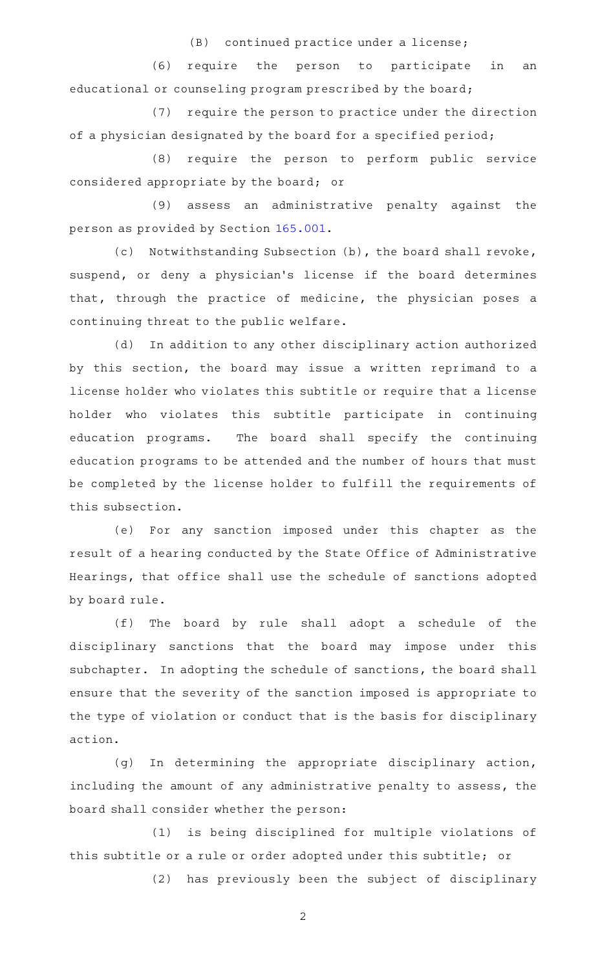(B) continued practice under a license;

(6) require the person to participate in an educational or counseling program prescribed by the board;

(7) require the person to practice under the direction of a physician designated by the board for a specified period;

(8) require the person to perform public service considered appropriate by the board; or

(9) assess an administrative penalty against the person as provided by Section [165.001.](http://www.statutes.legis.state.tx.us/GetStatute.aspx?Code=OC&Value=165.001)

(c) Notwithstanding Subsection (b), the board shall revoke, suspend, or deny a physician's license if the board determines that, through the practice of medicine, the physician poses a continuing threat to the public welfare.

(d) In addition to any other disciplinary action authorized by this section, the board may issue a written reprimand to a license holder who violates this subtitle or require that a license holder who violates this subtitle participate in continuing education programs. The board shall specify the continuing education programs to be attended and the number of hours that must be completed by the license holder to fulfill the requirements of this subsection.

(e) For any sanction imposed under this chapter as the result of a hearing conducted by the State Office of Administrative Hearings, that office shall use the schedule of sanctions adopted by board rule.

(f) The board by rule shall adopt a schedule of the disciplinary sanctions that the board may impose under this subchapter. In adopting the schedule of sanctions, the board shall ensure that the severity of the sanction imposed is appropriate to the type of violation or conduct that is the basis for disciplinary action.

(g) In determining the appropriate disciplinary action, including the amount of any administrative penalty to assess, the board shall consider whether the person:

(1) is being disciplined for multiple violations of this subtitle or a rule or order adopted under this subtitle; or

(2) has previously been the subject of disciplinary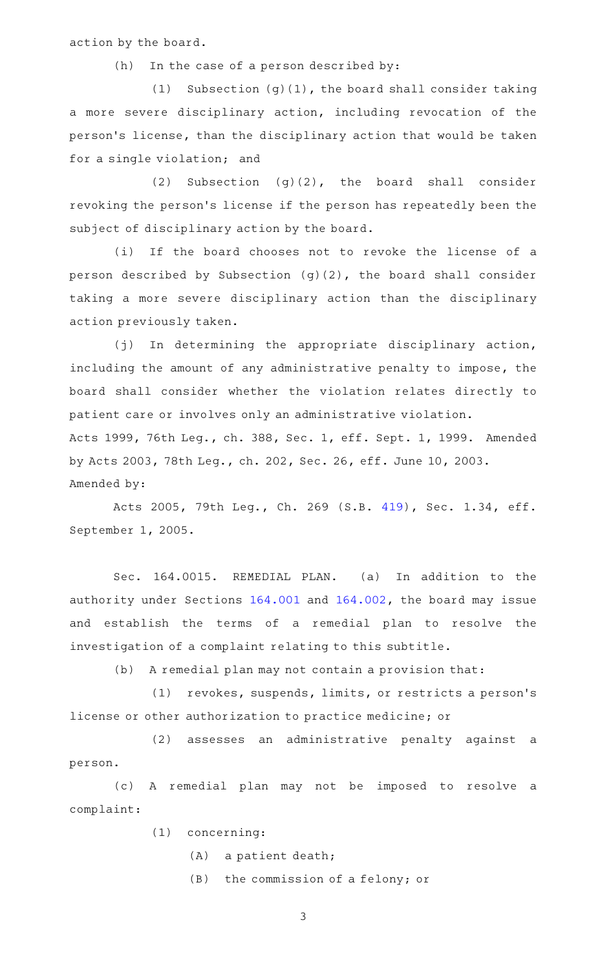action by the board.

 $(h)$  In the case of a person described by:

(1) Subsection  $(g)(1)$ , the board shall consider taking a more severe disciplinary action, including revocation of the person 's license, than the disciplinary action that would be taken for a single violation; and

(2) Subsection  $(g)(2)$ , the board shall consider revoking the person's license if the person has repeatedly been the subject of disciplinary action by the board.

(i) If the board chooses not to revoke the license of a person described by Subsection (g)(2), the board shall consider taking a more severe disciplinary action than the disciplinary action previously taken.

(j) In determining the appropriate disciplinary action, including the amount of any administrative penalty to impose, the board shall consider whether the violation relates directly to patient care or involves only an administrative violation. Acts 1999, 76th Leg., ch. 388, Sec. 1, eff. Sept. 1, 1999. Amended by Acts 2003, 78th Leg., ch. 202, Sec. 26, eff. June 10, 2003. Amended by:

Acts 2005, 79th Leg., Ch. 269 (S.B. [419](http://www.legis.state.tx.us/tlodocs/79R/billtext/html/SB00419F.HTM)), Sec. 1.34, eff. September 1, 2005.

Sec. 164.0015. REMEDIAL PLAN. (a) In addition to the authority under Sections [164.001](http://www.statutes.legis.state.tx.us/GetStatute.aspx?Code=OC&Value=164.001) and [164.002,](http://www.statutes.legis.state.tx.us/GetStatute.aspx?Code=OC&Value=164.002) the board may issue and establish the terms of a remedial plan to resolve the investigation of a complaint relating to this subtitle.

(b) A remedial plan may not contain a provision that:

(1) revokes, suspends, limits, or restricts a person's license or other authorization to practice medicine; or

(2) assesses an administrative penalty against a person.

(c)AAA remedial plan may not be imposed to resolve a complaint:

- (1) concerning:
	- $(A)$  a patient death;
	- $(B)$  the commission of a felony; or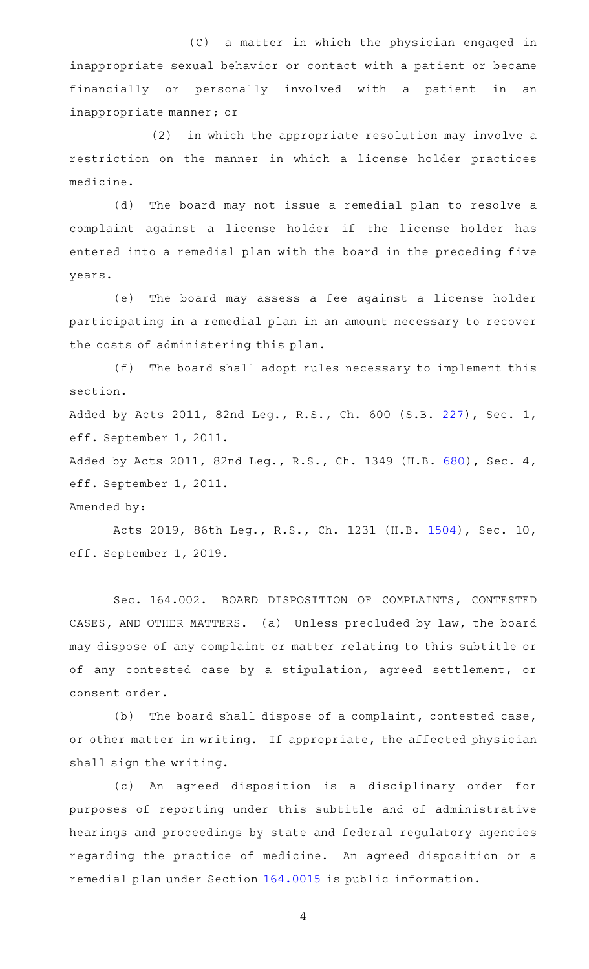(C) a matter in which the physician engaged in inappropriate sexual behavior or contact with a patient or became financially or personally involved with a patient in an inappropriate manner; or

 $(2)$  in which the appropriate resolution may involve a restriction on the manner in which a license holder practices medicine.

(d) The board may not issue a remedial plan to resolve a complaint against a license holder if the license holder has entered into a remedial plan with the board in the preceding five years.

(e) The board may assess a fee against a license holder participating in a remedial plan in an amount necessary to recover the costs of administering this plan.

 $(f)$  The board shall adopt rules necessary to implement this section.

Added by Acts 2011, 82nd Leg., R.S., Ch. 600 (S.B. [227](http://www.legis.state.tx.us/tlodocs/82R/billtext/html/SB00227F.HTM)), Sec. 1, eff. September 1, 2011.

Added by Acts 2011, 82nd Leg., R.S., Ch. 1349 (H.B. [680](http://www.legis.state.tx.us/tlodocs/82R/billtext/html/HB00680F.HTM)), Sec. 4, eff. September 1, 2011.

#### Amended by:

Acts 2019, 86th Leg., R.S., Ch. 1231 (H.B. [1504](http://www.legis.state.tx.us/tlodocs/86R/billtext/html/HB01504F.HTM)), Sec. 10, eff. September 1, 2019.

Sec. 164.002. BOARD DISPOSITION OF COMPLAINTS, CONTESTED CASES, AND OTHER MATTERS. (a) Unless precluded by law, the board may dispose of any complaint or matter relating to this subtitle or of any contested case by a stipulation, agreed settlement, or consent order.

(b) The board shall dispose of a complaint, contested case, or other matter in writing. If appropriate, the affected physician shall sign the writing.

(c) An agreed disposition is a disciplinary order for purposes of reporting under this subtitle and of administrative hearings and proceedings by state and federal regulatory agencies regarding the practice of medicine. An agreed disposition or a remedial plan under Section [164.0015](http://www.statutes.legis.state.tx.us/GetStatute.aspx?Code=OC&Value=164.0015) is public information.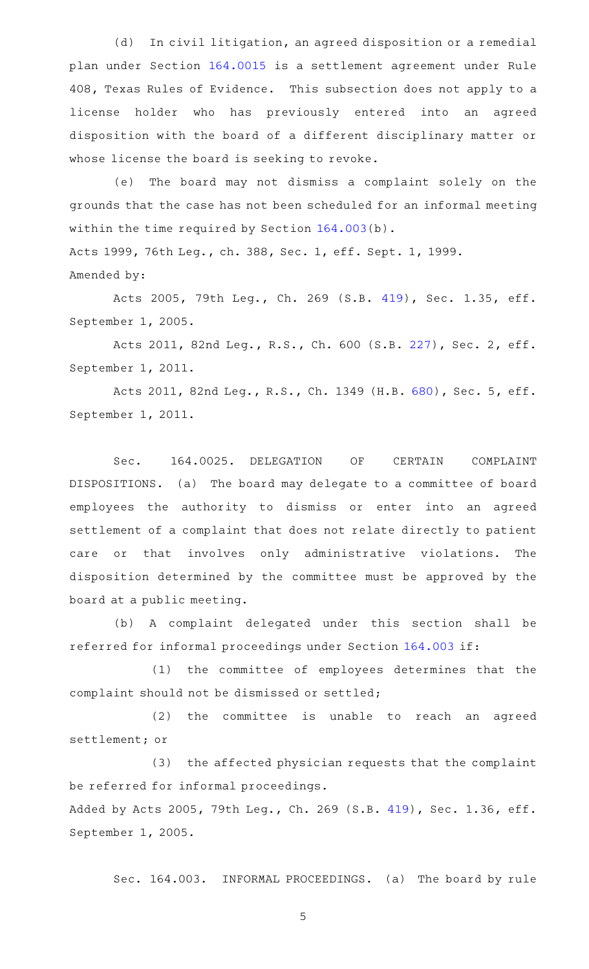(d) In civil litigation, an agreed disposition or a remedial plan under Section [164.0015](http://www.statutes.legis.state.tx.us/GetStatute.aspx?Code=OC&Value=164.0015) is a settlement agreement under Rule 408, Texas Rules of Evidence. This subsection does not apply to a license holder who has previously entered into an agreed disposition with the board of a different disciplinary matter or whose license the board is seeking to revoke.

(e) The board may not dismiss a complaint solely on the grounds that the case has not been scheduled for an informal meeting within the time required by Section [164.003](http://www.statutes.legis.state.tx.us/GetStatute.aspx?Code=OC&Value=164.003)(b).

Acts 1999, 76th Leg., ch. 388, Sec. 1, eff. Sept. 1, 1999. Amended by:

Acts 2005, 79th Leg., Ch. 269 (S.B. [419](http://www.legis.state.tx.us/tlodocs/79R/billtext/html/SB00419F.HTM)), Sec. 1.35, eff. September 1, 2005.

Acts 2011, 82nd Leg., R.S., Ch. 600 (S.B. [227](http://www.legis.state.tx.us/tlodocs/82R/billtext/html/SB00227F.HTM)), Sec. 2, eff. September 1, 2011.

Acts 2011, 82nd Leg., R.S., Ch. 1349 (H.B. [680](http://www.legis.state.tx.us/tlodocs/82R/billtext/html/HB00680F.HTM)), Sec. 5, eff. September 1, 2011.

Sec. 164.0025. DELEGATION OF CERTAIN COMPLAINT DISPOSITIONS. (a) The board may delegate to a committee of board employees the authority to dismiss or enter into an agreed settlement of a complaint that does not relate directly to patient care or that involves only administrative violations. The disposition determined by the committee must be approved by the board at a public meeting.

(b) A complaint delegated under this section shall be referred for informal proceedings under Section [164.003](http://www.statutes.legis.state.tx.us/GetStatute.aspx?Code=OC&Value=164.003) if:

(1) the committee of employees determines that the complaint should not be dismissed or settled;

(2) the committee is unable to reach an agreed settlement; or

(3) the affected physician requests that the complaint be referred for informal proceedings.

Added by Acts 2005, 79th Leg., Ch. 269 (S.B. [419](http://www.legis.state.tx.us/tlodocs/79R/billtext/html/SB00419F.HTM)), Sec. 1.36, eff. September 1, 2005.

Sec. 164.003. INFORMAL PROCEEDINGS. (a) The board by rule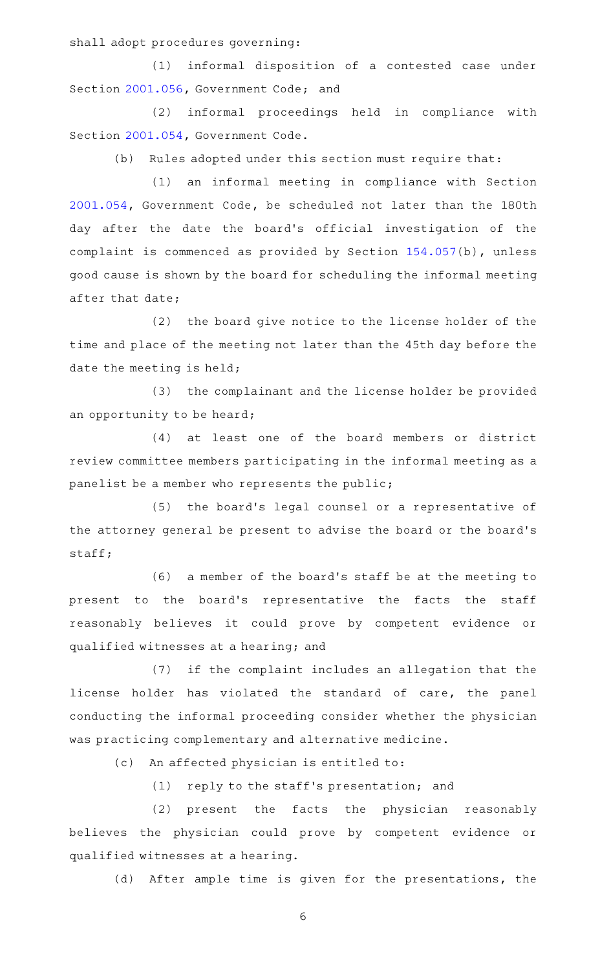shall adopt procedures governing:

(1) informal disposition of a contested case under Section [2001.056](http://www.statutes.legis.state.tx.us/GetStatute.aspx?Code=GV&Value=2001.056), Government Code; and

(2) informal proceedings held in compliance with Section [2001.054](http://www.statutes.legis.state.tx.us/GetStatute.aspx?Code=GV&Value=2001.054), Government Code.

(b) Rules adopted under this section must require that:

(1) an informal meeting in compliance with Section [2001.054](http://www.statutes.legis.state.tx.us/GetStatute.aspx?Code=GV&Value=2001.054), Government Code, be scheduled not later than the 180th day after the date the board's official investigation of the complaint is commenced as provided by Section [154.057\(](http://www.statutes.legis.state.tx.us/GetStatute.aspx?Code=OC&Value=154.057)b), unless good cause is shown by the board for scheduling the informal meeting after that date;

(2) the board give notice to the license holder of the time and place of the meeting not later than the 45th day before the date the meeting is held;

(3) the complainant and the license holder be provided an opportunity to be heard;

(4) at least one of the board members or district review committee members participating in the informal meeting as a panelist be a member who represents the public;

(5) the board's legal counsel or a representative of the attorney general be present to advise the board or the board 's staff;

(6) a member of the board's staff be at the meeting to present to the board's representative the facts the staff reasonably believes it could prove by competent evidence or qualified witnesses at a hearing; and

(7) if the complaint includes an allegation that the license holder has violated the standard of care, the panel conducting the informal proceeding consider whether the physician was practicing complementary and alternative medicine.

(c) An affected physician is entitled to:

(1) reply to the staff's presentation; and

(2) present the facts the physician reasonably believes the physician could prove by competent evidence or qualified witnesses at a hearing.

(d) After ample time is given for the presentations, the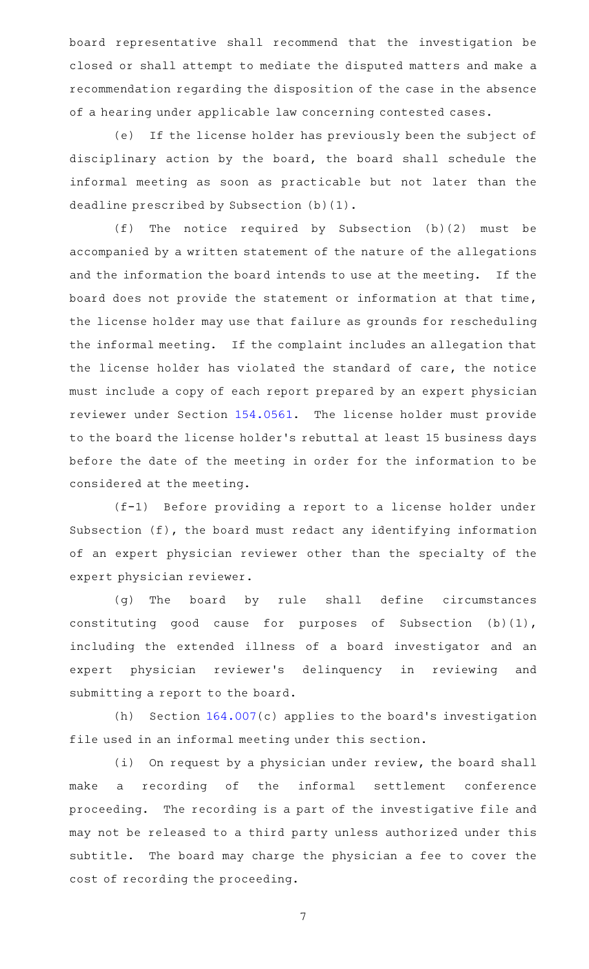board representative shall recommend that the investigation be closed or shall attempt to mediate the disputed matters and make a recommendation regarding the disposition of the case in the absence of a hearing under applicable law concerning contested cases.

(e) If the license holder has previously been the subject of disciplinary action by the board, the board shall schedule the informal meeting as soon as practicable but not later than the deadline prescribed by Subsection (b)(1).

(f) The notice required by Subsection  $(b)(2)$  must be accompanied by a written statement of the nature of the allegations and the information the board intends to use at the meeting. If the board does not provide the statement or information at that time, the license holder may use that failure as grounds for rescheduling the informal meeting. If the complaint includes an allegation that the license holder has violated the standard of care, the notice must include a copy of each report prepared by an expert physician reviewer under Section [154.0561](http://www.statutes.legis.state.tx.us/GetStatute.aspx?Code=OC&Value=154.0561). The license holder must provide to the board the license holder 's rebuttal at least 15 business days before the date of the meeting in order for the information to be considered at the meeting.

(f-1) Before providing a report to a license holder under Subsection (f), the board must redact any identifying information of an expert physician reviewer other than the specialty of the expert physician reviewer.

(g) The board by rule shall define circumstances constituting good cause for purposes of Subsection (b)(1), including the extended illness of a board investigator and an expert physician reviewer's delinquency in reviewing and submitting a report to the board.

(h) Section  $164.007(c)$  $164.007(c)$  applies to the board's investigation file used in an informal meeting under this section.

(i) On request by a physician under review, the board shall make a recording of the informal settlement conference proceeding. The recording is a part of the investigative file and may not be released to a third party unless authorized under this subtitle. The board may charge the physician a fee to cover the cost of recording the proceeding.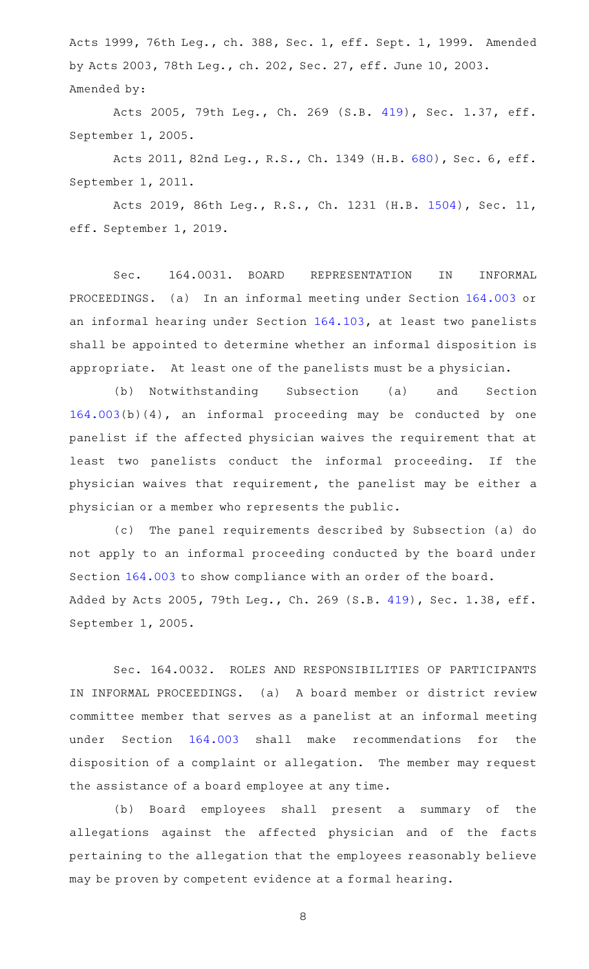Acts 1999, 76th Leg., ch. 388, Sec. 1, eff. Sept. 1, 1999. Amended by Acts 2003, 78th Leg., ch. 202, Sec. 27, eff. June 10, 2003. Amended by:

Acts 2005, 79th Leg., Ch. 269 (S.B. [419](http://www.legis.state.tx.us/tlodocs/79R/billtext/html/SB00419F.HTM)), Sec. 1.37, eff. September 1, 2005.

Acts 2011, 82nd Leg., R.S., Ch. 1349 (H.B. [680](http://www.legis.state.tx.us/tlodocs/82R/billtext/html/HB00680F.HTM)), Sec. 6, eff. September 1, 2011.

Acts 2019, 86th Leg., R.S., Ch. 1231 (H.B. [1504](http://www.legis.state.tx.us/tlodocs/86R/billtext/html/HB01504F.HTM)), Sec. 11, eff. September 1, 2019.

Sec. 164.0031. BOARD REPRESENTATION IN INFORMAL PROCEEDINGS. (a) In an informal meeting under Section [164.003](http://www.statutes.legis.state.tx.us/GetStatute.aspx?Code=OC&Value=164.003) or an informal hearing under Section [164.103,](http://www.statutes.legis.state.tx.us/GetStatute.aspx?Code=OC&Value=164.103) at least two panelists shall be appointed to determine whether an informal disposition is appropriate. At least one of the panelists must be a physician.

(b) Notwithstanding Subsection (a) and Section [164.003\(](http://www.statutes.legis.state.tx.us/GetStatute.aspx?Code=OC&Value=164.003)b)(4), an informal proceeding may be conducted by one panelist if the affected physician waives the requirement that at least two panelists conduct the informal proceeding. If the physician waives that requirement, the panelist may be either a physician or a member who represents the public.

(c) The panel requirements described by Subsection (a) do not apply to an informal proceeding conducted by the board under Section [164.003](http://www.statutes.legis.state.tx.us/GetStatute.aspx?Code=OC&Value=164.003) to show compliance with an order of the board. Added by Acts 2005, 79th Leg., Ch. 269 (S.B. [419](http://www.legis.state.tx.us/tlodocs/79R/billtext/html/SB00419F.HTM)), Sec. 1.38, eff. September 1, 2005.

Sec. 164.0032. ROLES AND RESPONSIBILITIES OF PARTICIPANTS IN INFORMAL PROCEEDINGS. (a) A board member or district review committee member that serves as a panelist at an informal meeting under Section [164.003](http://www.statutes.legis.state.tx.us/GetStatute.aspx?Code=OC&Value=164.003) shall make recommendations for the disposition of a complaint or allegation. The member may request the assistance of a board employee at any time.

(b) Board employees shall present a summary of the allegations against the affected physician and of the facts pertaining to the allegation that the employees reasonably believe may be proven by competent evidence at a formal hearing.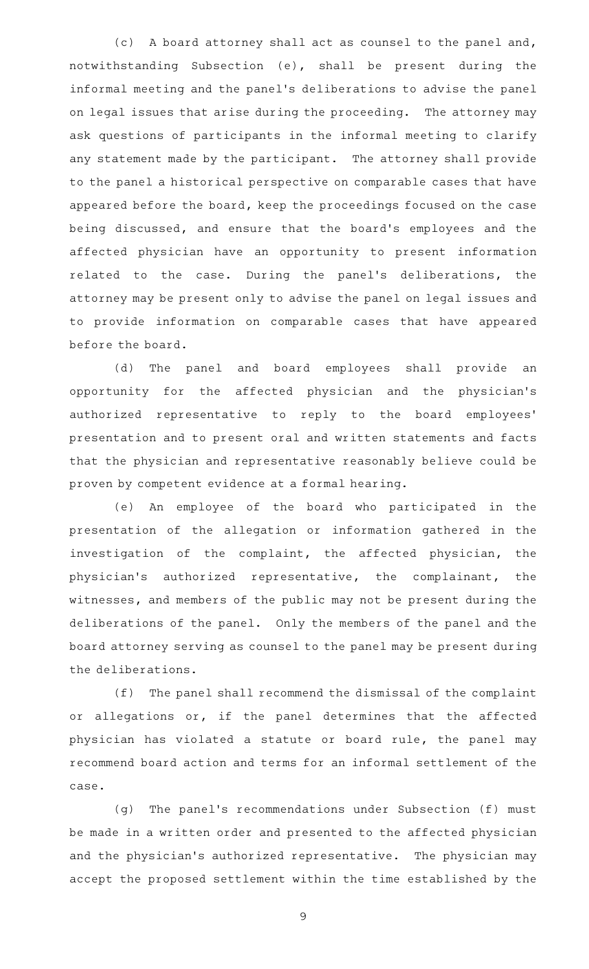(c) A board attorney shall act as counsel to the panel and, notwithstanding Subsection (e), shall be present during the informal meeting and the panel 's deliberations to advise the panel on legal issues that arise during the proceeding. The attorney may ask questions of participants in the informal meeting to clarify any statement made by the participant. The attorney shall provide to the panel a historical perspective on comparable cases that have appeared before the board, keep the proceedings focused on the case being discussed, and ensure that the board's employees and the affected physician have an opportunity to present information related to the case. During the panel's deliberations, the attorney may be present only to advise the panel on legal issues and to provide information on comparable cases that have appeared before the board.

(d) The panel and board employees shall provide an opportunity for the affected physician and the physician 's authorized representative to reply to the board employees ' presentation and to present oral and written statements and facts that the physician and representative reasonably believe could be proven by competent evidence at a formal hearing.

(e) An employee of the board who participated in the presentation of the allegation or information gathered in the investigation of the complaint, the affected physician, the physician 's authorized representative, the complainant, the witnesses, and members of the public may not be present during the deliberations of the panel. Only the members of the panel and the board attorney serving as counsel to the panel may be present during the deliberations.

(f) The panel shall recommend the dismissal of the complaint or allegations or, if the panel determines that the affected physician has violated a statute or board rule, the panel may recommend board action and terms for an informal settlement of the case.

(g) The panel's recommendations under Subsection (f) must be made in a written order and presented to the affected physician and the physician's authorized representative. The physician may accept the proposed settlement within the time established by the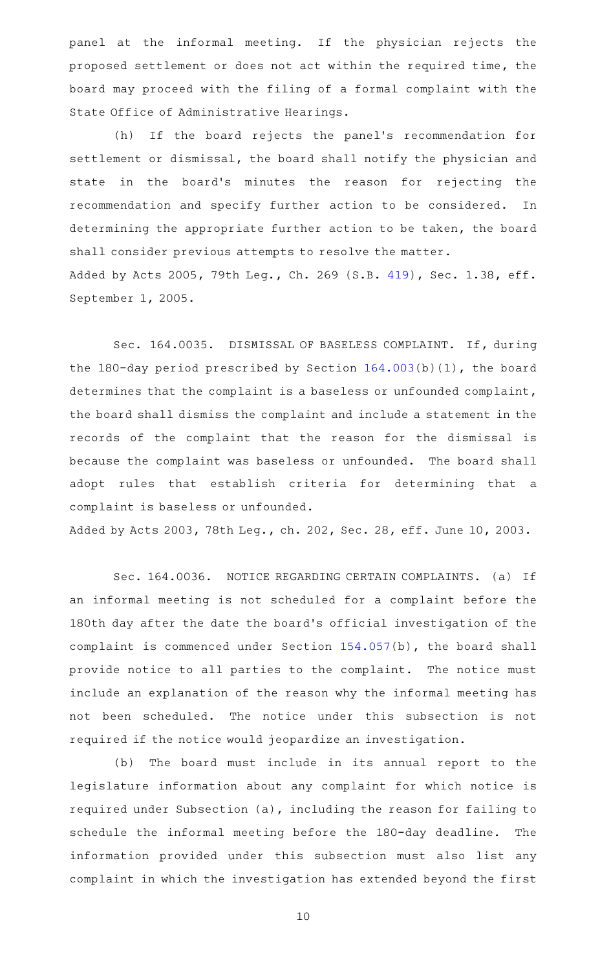panel at the informal meeting. If the physician rejects the proposed settlement or does not act within the required time, the board may proceed with the filing of a formal complaint with the State Office of Administrative Hearings.

(h) If the board rejects the panel's recommendation for settlement or dismissal, the board shall notify the physician and state in the board's minutes the reason for rejecting the recommendation and specify further action to be considered. In determining the appropriate further action to be taken, the board shall consider previous attempts to resolve the matter. Added by Acts 2005, 79th Leg., Ch. 269 (S.B. [419](http://www.legis.state.tx.us/tlodocs/79R/billtext/html/SB00419F.HTM)), Sec. 1.38, eff. September 1, 2005.

Sec. 164.0035. DISMISSAL OF BASELESS COMPLAINT. If, during the 180-day period prescribed by Section [164.003\(](http://www.statutes.legis.state.tx.us/GetStatute.aspx?Code=OC&Value=164.003)b)(1), the board determines that the complaint is a baseless or unfounded complaint, the board shall dismiss the complaint and include a statement in the records of the complaint that the reason for the dismissal is because the complaint was baseless or unfounded. The board shall adopt rules that establish criteria for determining that a complaint is baseless or unfounded.

Added by Acts 2003, 78th Leg., ch. 202, Sec. 28, eff. June 10, 2003.

Sec. 164.0036. NOTICE REGARDING CERTAIN COMPLAINTS. (a) If an informal meeting is not scheduled for a complaint before the 180th day after the date the board 's official investigation of the complaint is commenced under Section [154.057\(](http://www.statutes.legis.state.tx.us/GetStatute.aspx?Code=OC&Value=154.057)b), the board shall provide notice to all parties to the complaint. The notice must include an explanation of the reason why the informal meeting has not been scheduled. The notice under this subsection is not required if the notice would jeopardize an investigation.

(b) The board must include in its annual report to the legislature information about any complaint for which notice is required under Subsection (a), including the reason for failing to schedule the informal meeting before the 180-day deadline. The information provided under this subsection must also list any complaint in which the investigation has extended beyond the first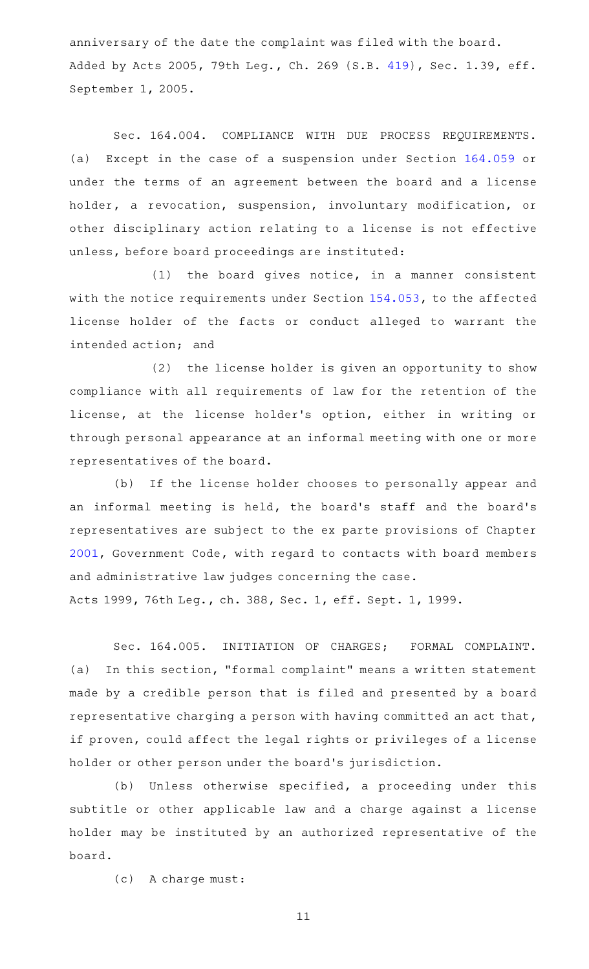anniversary of the date the complaint was filed with the board. Added by Acts 2005, 79th Leg., Ch. 269 (S.B. [419](http://www.legis.state.tx.us/tlodocs/79R/billtext/html/SB00419F.HTM)), Sec. 1.39, eff. September 1, 2005.

Sec. 164.004. COMPLIANCE WITH DUE PROCESS REQUIREMENTS. (a) Except in the case of a suspension under Section [164.059](http://www.statutes.legis.state.tx.us/GetStatute.aspx?Code=OC&Value=164.059) or under the terms of an agreement between the board and a license holder, a revocation, suspension, involuntary modification, or other disciplinary action relating to a license is not effective unless, before board proceedings are instituted:

 $(1)$  the board gives notice, in a manner consistent with the notice requirements under Section [154.053](http://www.statutes.legis.state.tx.us/GetStatute.aspx?Code=OC&Value=154.053), to the affected license holder of the facts or conduct alleged to warrant the intended action; and

(2) the license holder is given an opportunity to show compliance with all requirements of law for the retention of the license, at the license holder 's option, either in writing or through personal appearance at an informal meeting with one or more representatives of the board.

(b) If the license holder chooses to personally appear and an informal meeting is held, the board's staff and the board's representatives are subject to the ex parte provisions of Chapter [2001](http://www.statutes.legis.state.tx.us/GetStatute.aspx?Code=GV&Value=2001), Government Code, with regard to contacts with board members and administrative law judges concerning the case.

Acts 1999, 76th Leg., ch. 388, Sec. 1, eff. Sept. 1, 1999.

Sec. 164.005. INITIATION OF CHARGES; FORMAL COMPLAINT. (a) In this section, "formal complaint" means a written statement made by a credible person that is filed and presented by a board representative charging a person with having committed an act that, if proven, could affect the legal rights or privileges of a license holder or other person under the board's jurisdiction.

(b) Unless otherwise specified, a proceeding under this subtitle or other applicable law and a charge against a license holder may be instituted by an authorized representative of the board.

(c) A charge must: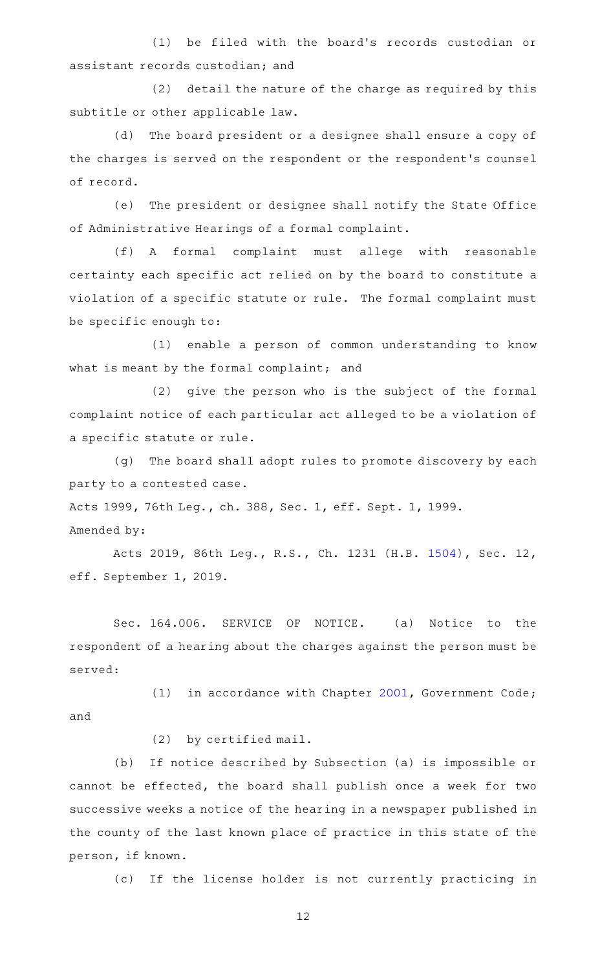(1) be filed with the board's records custodian or assistant records custodian; and

(2) detail the nature of the charge as required by this subtitle or other applicable law.

(d) The board president or a designee shall ensure a copy of the charges is served on the respondent or the respondent 's counsel of record.

(e) The president or designee shall notify the State Office of Administrative Hearings of a formal complaint.

(f)AAA formal complaint must allege with reasonable certainty each specific act relied on by the board to constitute a violation of a specific statute or rule. The formal complaint must be specific enough to:

(1) enable a person of common understanding to know what is meant by the formal complaint; and

(2) give the person who is the subject of the formal complaint notice of each particular act alleged to be a violation of a specific statute or rule.

(g) The board shall adopt rules to promote discovery by each party to a contested case.

Acts 1999, 76th Leg., ch. 388, Sec. 1, eff. Sept. 1, 1999.

Amended by:

Acts 2019, 86th Leg., R.S., Ch. 1231 (H.B. [1504](http://www.legis.state.tx.us/tlodocs/86R/billtext/html/HB01504F.HTM)), Sec. 12, eff. September 1, 2019.

Sec. 164.006. SERVICE OF NOTICE. (a) Notice to the respondent of a hearing about the charges against the person must be served:

(1) in accordance with Chapter  $2001$ , Government Code; and

(2) by certified mail.

(b) If notice described by Subsection (a) is impossible or cannot be effected, the board shall publish once a week for two successive weeks a notice of the hearing in a newspaper published in the county of the last known place of practice in this state of the person, if known.

(c) If the license holder is not currently practicing in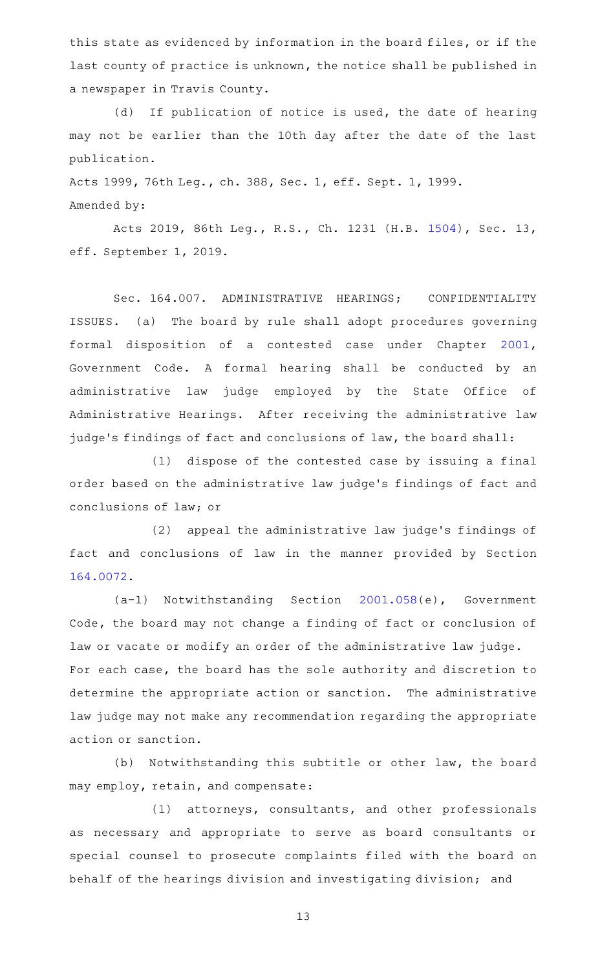this state as evidenced by information in the board files, or if the last county of practice is unknown, the notice shall be published in a newspaper in Travis County.

(d) If publication of notice is used, the date of hearing may not be earlier than the 10th day after the date of the last publication.

Acts 1999, 76th Leg., ch. 388, Sec. 1, eff. Sept. 1, 1999. Amended by:

Acts 2019, 86th Leg., R.S., Ch. 1231 (H.B. [1504](http://www.legis.state.tx.us/tlodocs/86R/billtext/html/HB01504F.HTM)), Sec. 13, eff. September 1, 2019.

Sec. 164.007. ADMINISTRATIVE HEARINGS; CONFIDENTIALITY ISSUES. (a) The board by rule shall adopt procedures governing formal disposition of a contested case under Chapter [2001](http://www.statutes.legis.state.tx.us/GetStatute.aspx?Code=GV&Value=2001), Government Code. A formal hearing shall be conducted by an administrative law judge employed by the State Office of Administrative Hearings. After receiving the administrative law judge 's findings of fact and conclusions of law, the board shall:

 $(1)$  dispose of the contested case by issuing a final order based on the administrative law judge 's findings of fact and conclusions of law; or

(2) appeal the administrative law judge's findings of fact and conclusions of law in the manner provided by Section [164.0072](http://www.statutes.legis.state.tx.us/GetStatute.aspx?Code=OC&Value=164.0072).

(a-1) Notwithstanding Section [2001.058\(](http://www.statutes.legis.state.tx.us/GetStatute.aspx?Code=GV&Value=2001.058)e), Government Code, the board may not change a finding of fact or conclusion of law or vacate or modify an order of the administrative law judge. For each case, the board has the sole authority and discretion to determine the appropriate action or sanction. The administrative law judge may not make any recommendation regarding the appropriate action or sanction.

(b) Notwithstanding this subtitle or other law, the board may employ, retain, and compensate:

 $(1)$  attorneys, consultants, and other professionals as necessary and appropriate to serve as board consultants or special counsel to prosecute complaints filed with the board on behalf of the hearings division and investigating division; and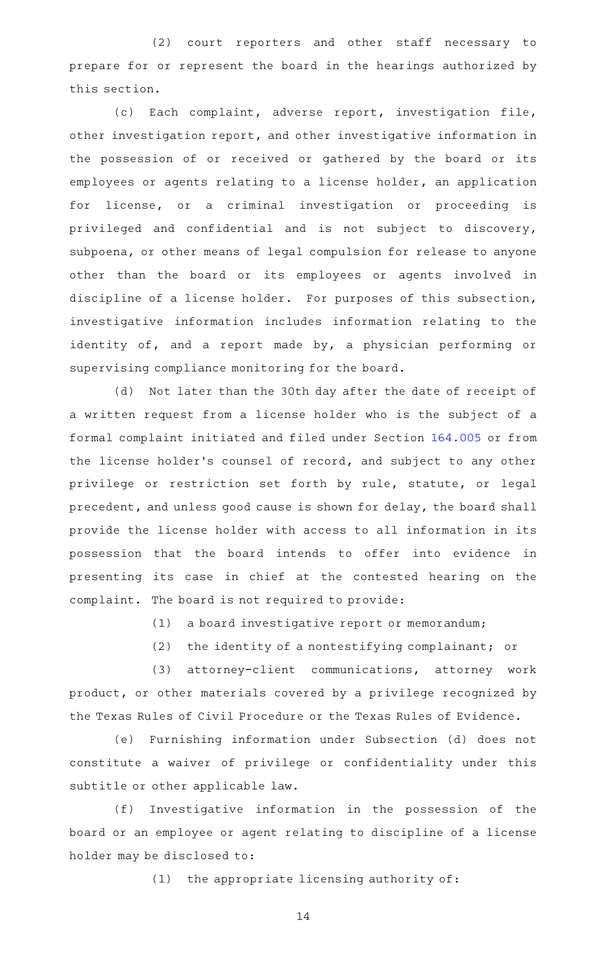(2) court reporters and other staff necessary to prepare for or represent the board in the hearings authorized by this section.

(c) Each complaint, adverse report, investigation file, other investigation report, and other investigative information in the possession of or received or gathered by the board or its employees or agents relating to a license holder, an application for license, or a criminal investigation or proceeding is privileged and confidential and is not subject to discovery, subpoena, or other means of legal compulsion for release to anyone other than the board or its employees or agents involved in discipline of a license holder. For purposes of this subsection, investigative information includes information relating to the identity of, and a report made by, a physician performing or supervising compliance monitoring for the board.

(d) Not later than the 30th day after the date of receipt of a written request from a license holder who is the subject of a formal complaint initiated and filed under Section [164.005](http://www.statutes.legis.state.tx.us/GetStatute.aspx?Code=OC&Value=164.005) or from the license holder 's counsel of record, and subject to any other privilege or restriction set forth by rule, statute, or legal precedent, and unless good cause is shown for delay, the board shall provide the license holder with access to all information in its possession that the board intends to offer into evidence in presenting its case in chief at the contested hearing on the complaint. The board is not required to provide:

 $(1)$  a board investigative report or memorandum;

(2) the identity of a nontestifying complainant; or

(3) attorney-client communications, attorney work product, or other materials covered by a privilege recognized by the Texas Rules of Civil Procedure or the Texas Rules of Evidence.

(e) Furnishing information under Subsection (d) does not constitute a waiver of privilege or confidentiality under this subtitle or other applicable law.

(f) Investigative information in the possession of the board or an employee or agent relating to discipline of a license holder may be disclosed to:

 $(1)$  the appropriate licensing authority of: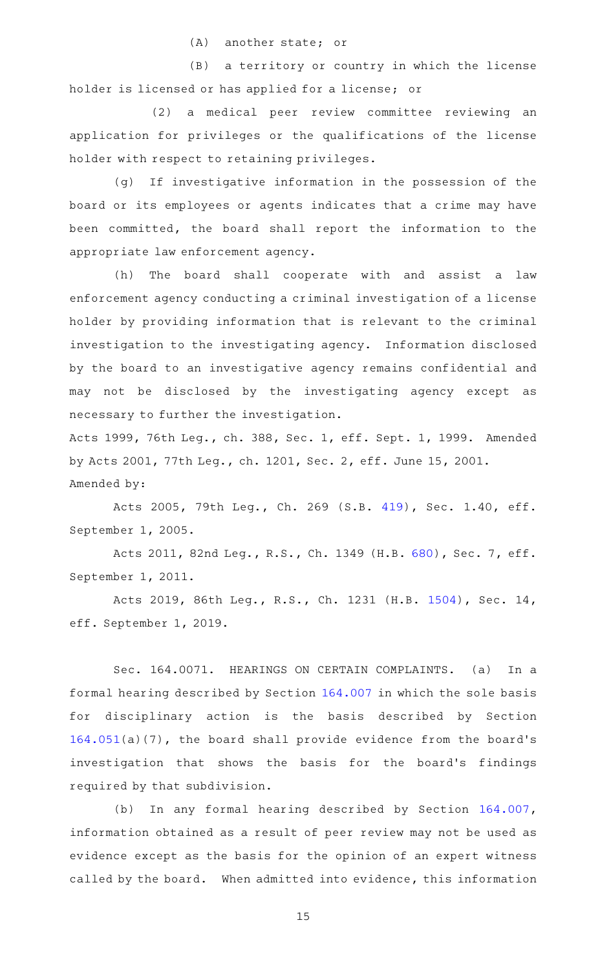$(A)$  another state; or

(B) a territory or country in which the license holder is licensed or has applied for a license; or

(2) a medical peer review committee reviewing an application for privileges or the qualifications of the license holder with respect to retaining privileges.

(g) If investigative information in the possession of the board or its employees or agents indicates that a crime may have been committed, the board shall report the information to the appropriate law enforcement agency.

(h) The board shall cooperate with and assist a law enforcement agency conducting a criminal investigation of a license holder by providing information that is relevant to the criminal investigation to the investigating agency. Information disclosed by the board to an investigative agency remains confidential and may not be disclosed by the investigating agency except as necessary to further the investigation.

Acts 1999, 76th Leg., ch. 388, Sec. 1, eff. Sept. 1, 1999. Amended by Acts 2001, 77th Leg., ch. 1201, Sec. 2, eff. June 15, 2001. Amended by:

Acts 2005, 79th Leg., Ch. 269 (S.B. [419](http://www.legis.state.tx.us/tlodocs/79R/billtext/html/SB00419F.HTM)), Sec. 1.40, eff. September 1, 2005.

Acts 2011, 82nd Leg., R.S., Ch. 1349 (H.B. [680](http://www.legis.state.tx.us/tlodocs/82R/billtext/html/HB00680F.HTM)), Sec. 7, eff. September 1, 2011.

Acts 2019, 86th Leg., R.S., Ch. 1231 (H.B. [1504](http://www.legis.state.tx.us/tlodocs/86R/billtext/html/HB01504F.HTM)), Sec. 14, eff. September 1, 2019.

Sec. 164.0071. HEARINGS ON CERTAIN COMPLAINTS. (a) In a formal hearing described by Section [164.007](http://www.statutes.legis.state.tx.us/GetStatute.aspx?Code=OC&Value=164.007) in which the sole basis for disciplinary action is the basis described by Section [164.051\(](http://www.statutes.legis.state.tx.us/GetStatute.aspx?Code=OC&Value=164.051)a)(7), the board shall provide evidence from the board 's investigation that shows the basis for the board's findings required by that subdivision.

(b) In any formal hearing described by Section [164.007](http://www.statutes.legis.state.tx.us/GetStatute.aspx?Code=OC&Value=164.007), information obtained as a result of peer review may not be used as evidence except as the basis for the opinion of an expert witness called by the board. When admitted into evidence, this information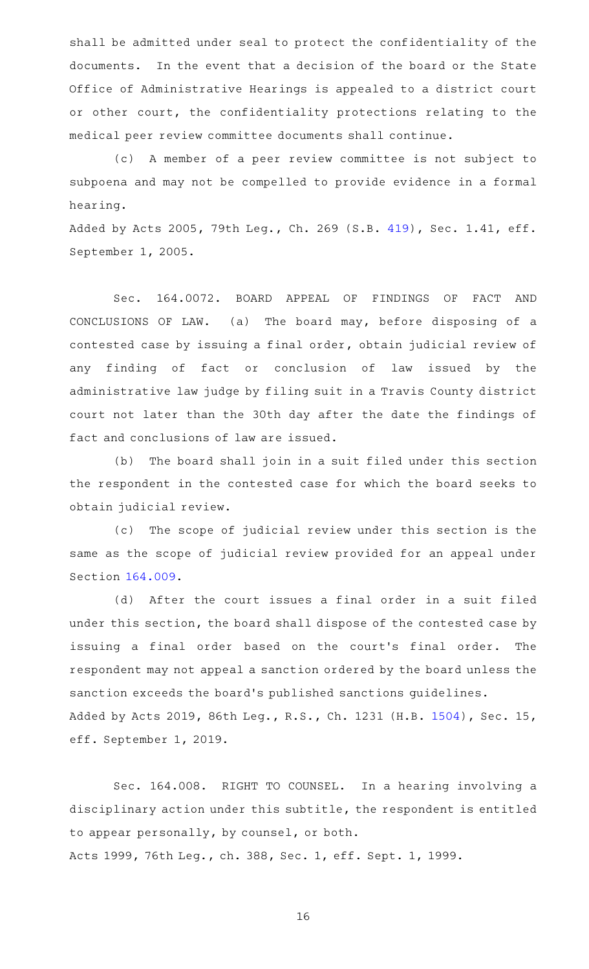shall be admitted under seal to protect the confidentiality of the documents. In the event that a decision of the board or the State Office of Administrative Hearings is appealed to a district court or other court, the confidentiality protections relating to the medical peer review committee documents shall continue.

(c)AAA member of a peer review committee is not subject to subpoena and may not be compelled to provide evidence in a formal hearing.

Added by Acts 2005, 79th Leg., Ch. 269 (S.B. [419](http://www.legis.state.tx.us/tlodocs/79R/billtext/html/SB00419F.HTM)), Sec. 1.41, eff. September 1, 2005.

Sec. 164.0072. BOARD APPEAL OF FINDINGS OF FACT AND CONCLUSIONS OF LAW. (a) The board may, before disposing of a contested case by issuing a final order, obtain judicial review of any finding of fact or conclusion of law issued by the administrative law judge by filing suit in a Travis County district court not later than the 30th day after the date the findings of fact and conclusions of law are issued.

(b) The board shall join in a suit filed under this section the respondent in the contested case for which the board seeks to obtain judicial review.

(c) The scope of judicial review under this section is the same as the scope of judicial review provided for an appeal under Section [164.009.](http://www.statutes.legis.state.tx.us/GetStatute.aspx?Code=OC&Value=164.009)

(d) After the court issues a final order in a suit filed under this section, the board shall dispose of the contested case by issuing a final order based on the court's final order. The respondent may not appeal a sanction ordered by the board unless the sanction exceeds the board's published sanctions guidelines. Added by Acts 2019, 86th Leg., R.S., Ch. 1231 (H.B. [1504](http://www.legis.state.tx.us/tlodocs/86R/billtext/html/HB01504F.HTM)), Sec. 15, eff. September 1, 2019.

Sec. 164.008. RIGHT TO COUNSEL. In a hearing involving a disciplinary action under this subtitle, the respondent is entitled to appear personally, by counsel, or both. Acts 1999, 76th Leg., ch. 388, Sec. 1, eff. Sept. 1, 1999.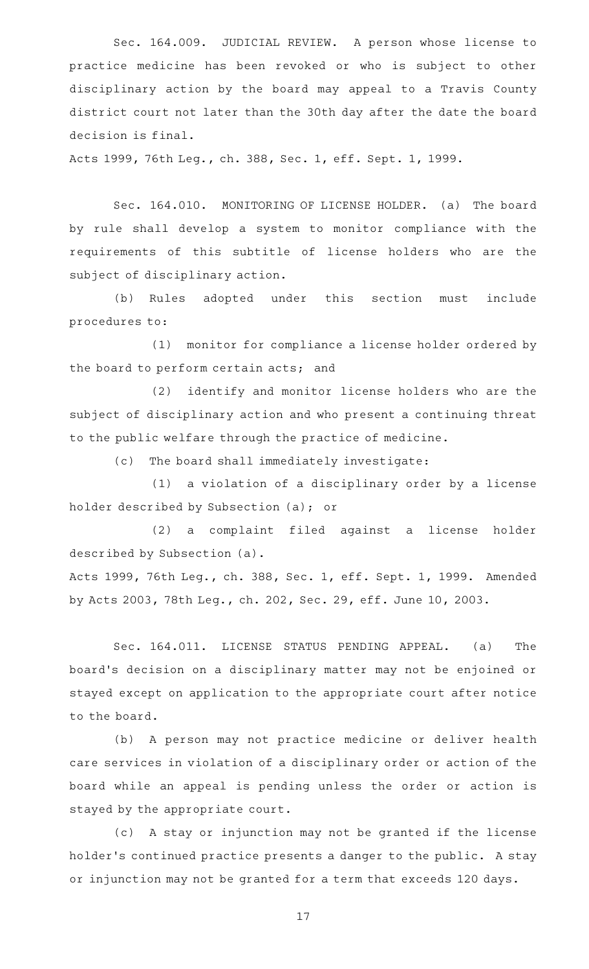Sec. 164.009. JUDICIAL REVIEW. A person whose license to practice medicine has been revoked or who is subject to other disciplinary action by the board may appeal to a Travis County district court not later than the 30th day after the date the board decision is final.

Acts 1999, 76th Leg., ch. 388, Sec. 1, eff. Sept. 1, 1999.

Sec. 164.010. MONITORING OF LICENSE HOLDER. (a) The board by rule shall develop a system to monitor compliance with the requirements of this subtitle of license holders who are the subject of disciplinary action.

(b) Rules adopted under this section must include procedures to:

(1) monitor for compliance a license holder ordered by the board to perform certain acts; and

(2) identify and monitor license holders who are the subject of disciplinary action and who present a continuing threat to the public welfare through the practice of medicine.

(c) The board shall immediately investigate:

(1) a violation of a disciplinary order by a license holder described by Subsection (a); or

(2) a complaint filed against a license holder described by Subsection (a).

Acts 1999, 76th Leg., ch. 388, Sec. 1, eff. Sept. 1, 1999. Amended by Acts 2003, 78th Leg., ch. 202, Sec. 29, eff. June 10, 2003.

Sec. 164.011. LICENSE STATUS PENDING APPEAL. (a) The board 's decision on a disciplinary matter may not be enjoined or stayed except on application to the appropriate court after notice to the board.

(b) A person may not practice medicine or deliver health care services in violation of a disciplinary order or action of the board while an appeal is pending unless the order or action is stayed by the appropriate court.

(c)AAA stay or injunction may not be granted if the license holder 's continued practice presents a danger to the public. A stay or injunction may not be granted for a term that exceeds 120 days.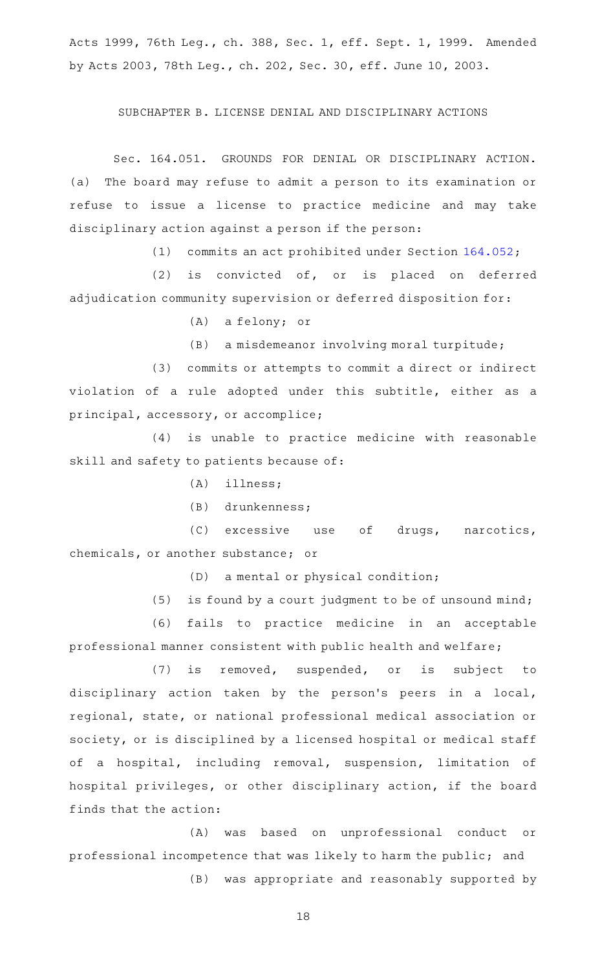Acts 1999, 76th Leg., ch. 388, Sec. 1, eff. Sept. 1, 1999. Amended by Acts 2003, 78th Leg., ch. 202, Sec. 30, eff. June 10, 2003.

### SUBCHAPTER B. LICENSE DENIAL AND DISCIPLINARY ACTIONS

Sec. 164.051. GROUNDS FOR DENIAL OR DISCIPLINARY ACTION. (a) The board may refuse to admit a person to its examination or refuse to issue a license to practice medicine and may take disciplinary action against a person if the person:

(1) commits an act prohibited under Section  $164.052$ ;

 $(2)$  is convicted of, or is placed on deferred adjudication community supervision or deferred disposition for:

(A) a felony; or

(B) a misdemeanor involving moral turpitude;

(3) commits or attempts to commit a direct or indirect violation of a rule adopted under this subtitle, either as a principal, accessory, or accomplice;

(4) is unable to practice medicine with reasonable skill and safety to patients because of:

- $(A)$  illness;
- (B) drunkenness;

(C) excessive use of drugs, narcotics, chemicals, or another substance; or

 $(D)$  a mental or physical condition;

(5) is found by a court judgment to be of unsound mind;

(6) fails to practice medicine in an acceptable professional manner consistent with public health and welfare;

(7) is removed, suspended, or is subject to disciplinary action taken by the person's peers in a local, regional, state, or national professional medical association or society, or is disciplined by a licensed hospital or medical staff of a hospital, including removal, suspension, limitation of hospital privileges, or other disciplinary action, if the board finds that the action:

(A) was based on unprofessional conduct or professional incompetence that was likely to harm the public; and

(B) was appropriate and reasonably supported by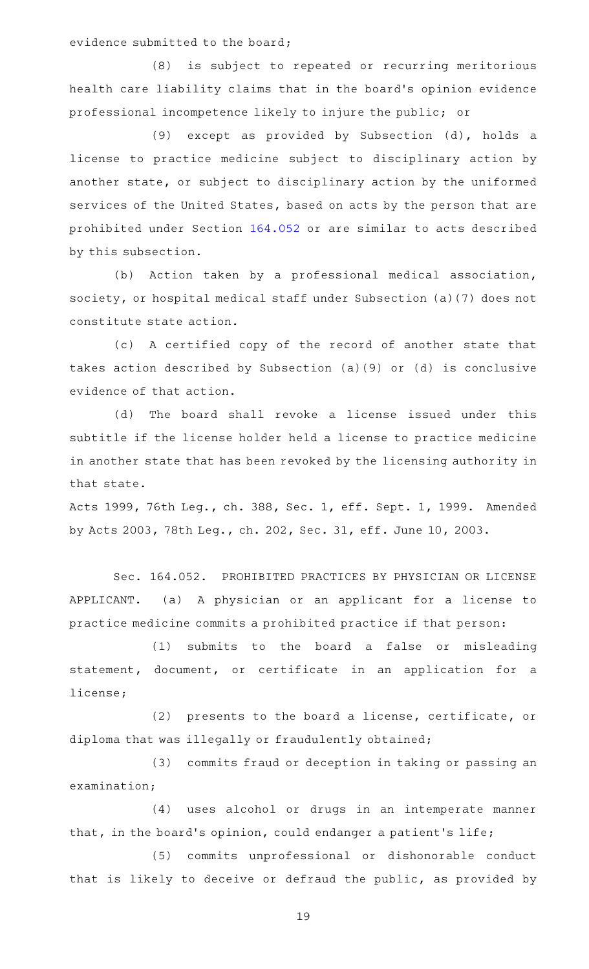evidence submitted to the board;

(8) is subject to repeated or recurring meritorious health care liability claims that in the board's opinion evidence professional incompetence likely to injure the public; or

(9) except as provided by Subsection (d), holds a license to practice medicine subject to disciplinary action by another state, or subject to disciplinary action by the uniformed services of the United States, based on acts by the person that are prohibited under Section [164.052](http://www.statutes.legis.state.tx.us/GetStatute.aspx?Code=OC&Value=164.052) or are similar to acts described by this subsection.

(b) Action taken by a professional medical association, society, or hospital medical staff under Subsection (a)(7) does not constitute state action.

(c) A certified copy of the record of another state that takes action described by Subsection (a)(9) or (d) is conclusive evidence of that action.

(d) The board shall revoke a license issued under this subtitle if the license holder held a license to practice medicine in another state that has been revoked by the licensing authority in that state.

Acts 1999, 76th Leg., ch. 388, Sec. 1, eff. Sept. 1, 1999. Amended by Acts 2003, 78th Leg., ch. 202, Sec. 31, eff. June 10, 2003.

Sec. 164.052. PROHIBITED PRACTICES BY PHYSICIAN OR LICENSE APPLICANT. (a) A physician or an applicant for a license to practice medicine commits a prohibited practice if that person:

(1) submits to the board a false or misleading statement, document, or certificate in an application for a license;

(2) presents to the board a license, certificate, or diploma that was illegally or fraudulently obtained;

(3) commits fraud or deception in taking or passing an examination;

(4) uses alcohol or drugs in an intemperate manner that, in the board's opinion, could endanger a patient's life;

(5) commits unprofessional or dishonorable conduct that is likely to deceive or defraud the public, as provided by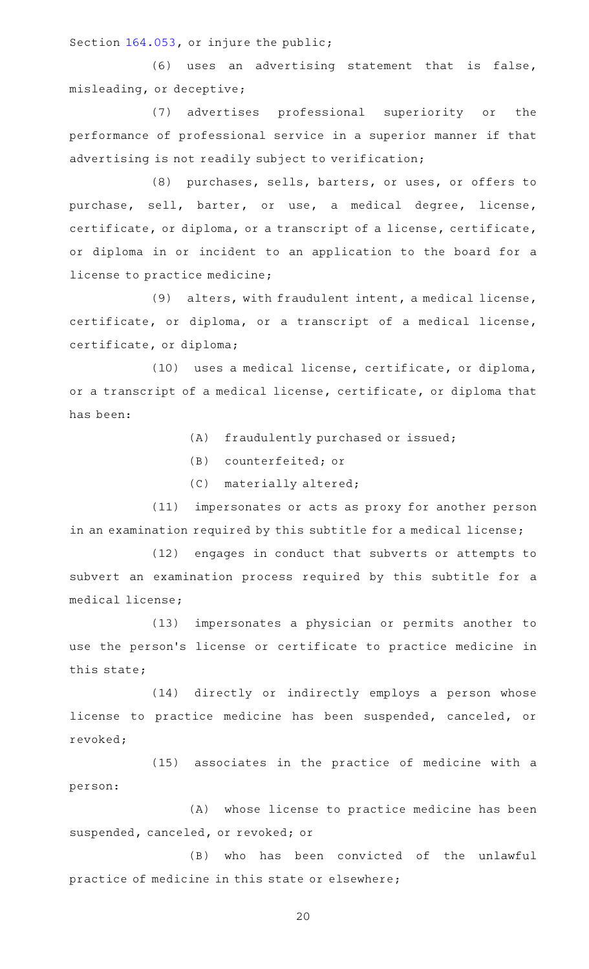Section [164.053,](http://www.statutes.legis.state.tx.us/GetStatute.aspx?Code=OC&Value=164.053) or injure the public;

(6) uses an advertising statement that is false, misleading, or deceptive;

(7) advertises professional superiority or the performance of professional service in a superior manner if that advertising is not readily subject to verification;

(8) purchases, sells, barters, or uses, or offers to purchase, sell, barter, or use, a medical degree, license, certificate, or diploma, or a transcript of a license, certificate, or diploma in or incident to an application to the board for a license to practice medicine;

(9) alters, with fraudulent intent, a medical license, certificate, or diploma, or a transcript of a medical license, certificate, or diploma;

(10) uses a medical license, certificate, or diploma, or a transcript of a medical license, certificate, or diploma that has been:

(A) fraudulently purchased or issued;

(B) counterfeited; or

(C) materially altered;

(11) impersonates or acts as proxy for another person in an examination required by this subtitle for a medical license;

(12) engages in conduct that subverts or attempts to subvert an examination process required by this subtitle for a medical license;

(13) impersonates a physician or permits another to use the person's license or certificate to practice medicine in this state;

(14) directly or indirectly employs a person whose license to practice medicine has been suspended, canceled, or revoked;

(15) associates in the practice of medicine with a person:

(A) whose license to practice medicine has been suspended, canceled, or revoked; or

(B) who has been convicted of the unlawful practice of medicine in this state or elsewhere;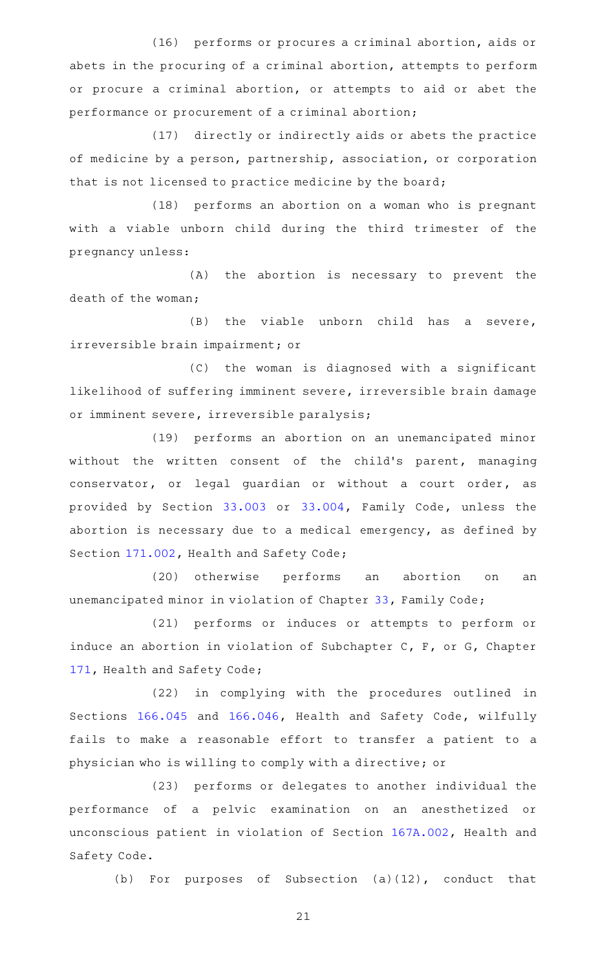(16) performs or procures a criminal abortion, aids or abets in the procuring of a criminal abortion, attempts to perform or procure a criminal abortion, or attempts to aid or abet the performance or procurement of a criminal abortion;

(17) directly or indirectly aids or abets the practice of medicine by a person, partnership, association, or corporation that is not licensed to practice medicine by the board;

(18) performs an abortion on a woman who is pregnant with a viable unborn child during the third trimester of the pregnancy unless:

(A) the abortion is necessary to prevent the death of the woman;

 $(B)$  the viable unborn child has a severe, irreversible brain impairment; or

(C) the woman is diagnosed with a significant likelihood of suffering imminent severe, irreversible brain damage or imminent severe, irreversible paralysis;

(19) performs an abortion on an unemancipated minor without the written consent of the child's parent, managing conservator, or legal guardian or without a court order, as provided by Section [33.003](http://www.statutes.legis.state.tx.us/GetStatute.aspx?Code=FA&Value=33.003) or [33.004,](http://www.statutes.legis.state.tx.us/GetStatute.aspx?Code=FA&Value=33.004) Family Code, unless the abortion is necessary due to a medical emergency, as defined by Section [171.002,](http://www.statutes.legis.state.tx.us/GetStatute.aspx?Code=HS&Value=171.002) Health and Safety Code;

(20) otherwise performs an abortion on an unemancipated minor in violation of Chapter [33](http://www.statutes.legis.state.tx.us/GetStatute.aspx?Code=FA&Value=33), Family Code;

(21) performs or induces or attempts to perform or induce an abortion in violation of Subchapter C, F, or G, Chapter [171,](http://www.statutes.legis.state.tx.us/GetStatute.aspx?Code=HS&Value=171) Health and Safety Code;

(22) in complying with the procedures outlined in Sections [166.045](http://www.statutes.legis.state.tx.us/GetStatute.aspx?Code=HS&Value=166.045) and [166.046](http://www.statutes.legis.state.tx.us/GetStatute.aspx?Code=HS&Value=166.046), Health and Safety Code, wilfully fails to make a reasonable effort to transfer a patient to a physician who is willing to comply with a directive; or

(23) performs or delegates to another individual the performance of a pelvic examination on an anesthetized or unconscious patient in violation of Section [167A.002,](http://www.statutes.legis.state.tx.us/GetStatute.aspx?Code=HS&Value=167A.002) Health and Safety Code.

(b) For purposes of Subsection  $(a)(12)$ , conduct that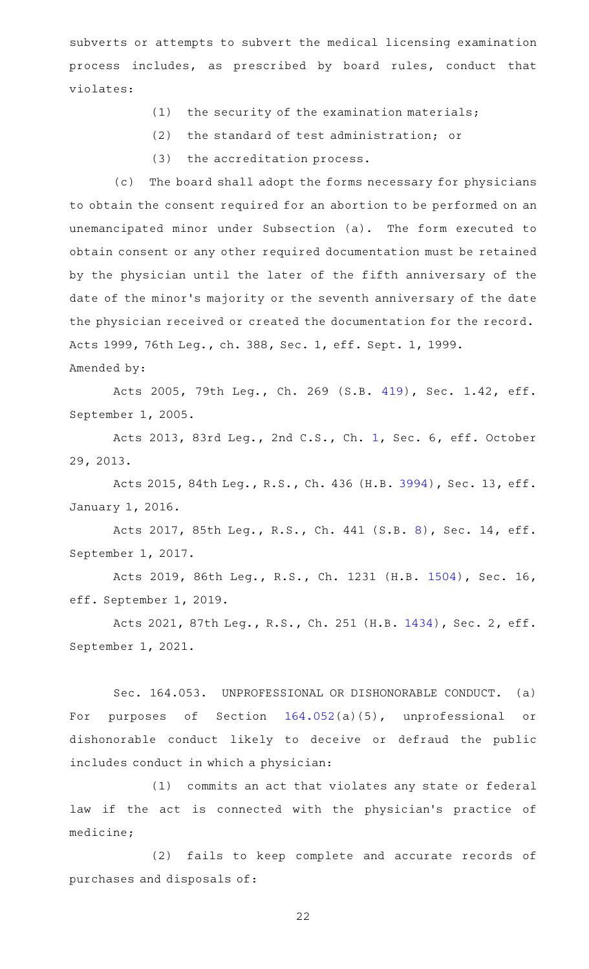subverts or attempts to subvert the medical licensing examination process includes, as prescribed by board rules, conduct that violates:

- $(1)$  the security of the examination materials;
- (2) the standard of test administration; or
- (3) the accreditation process.

(c) The board shall adopt the forms necessary for physicians to obtain the consent required for an abortion to be performed on an unemancipated minor under Subsection (a). The form executed to obtain consent or any other required documentation must be retained by the physician until the later of the fifth anniversary of the date of the minor 's majority or the seventh anniversary of the date the physician received or created the documentation for the record. Acts 1999, 76th Leg., ch. 388, Sec. 1, eff. Sept. 1, 1999. Amended by:

Acts 2005, 79th Leg., Ch. 269 (S.B. [419](http://www.legis.state.tx.us/tlodocs/79R/billtext/html/SB00419F.HTM)), Sec. 1.42, eff. September 1, 2005.

Acts 2013, 83rd Leg., 2nd C.S., Ch. [1,](http://www.legis.state.tx.us/tlodocs/832/billtext/html/HB00002F.HTM) Sec. 6, eff. October 29, 2013.

Acts 2015, 84th Leg., R.S., Ch. 436 (H.B. [3994\)](http://www.legis.state.tx.us/tlodocs/84R/billtext/html/HB03994F.HTM), Sec. 13, eff. January 1, 2016.

Acts 2017, 85th Leg., R.S., Ch. 441 (S.B. [8\)](http://www.legis.state.tx.us/tlodocs/85R/billtext/html/SB00008F.HTM), Sec. 14, eff. September 1, 2017.

Acts 2019, 86th Leg., R.S., Ch. 1231 (H.B. [1504](http://www.legis.state.tx.us/tlodocs/86R/billtext/html/HB01504F.HTM)), Sec. 16, eff. September 1, 2019.

Acts 2021, 87th Leg., R.S., Ch. 251 (H.B. [1434](http://www.legis.state.tx.us/tlodocs/87R/billtext/html/HB01434F.HTM)), Sec. 2, eff. September 1, 2021.

Sec. 164.053. UNPROFESSIONAL OR DISHONORABLE CONDUCT. (a) For purposes of Section [164.052](http://www.statutes.legis.state.tx.us/GetStatute.aspx?Code=OC&Value=164.052)(a)(5), unprofessional or dishonorable conduct likely to deceive or defraud the public includes conduct in which a physician:

(1) commits an act that violates any state or federal law if the act is connected with the physician's practice of medicine;

(2) fails to keep complete and accurate records of purchases and disposals of: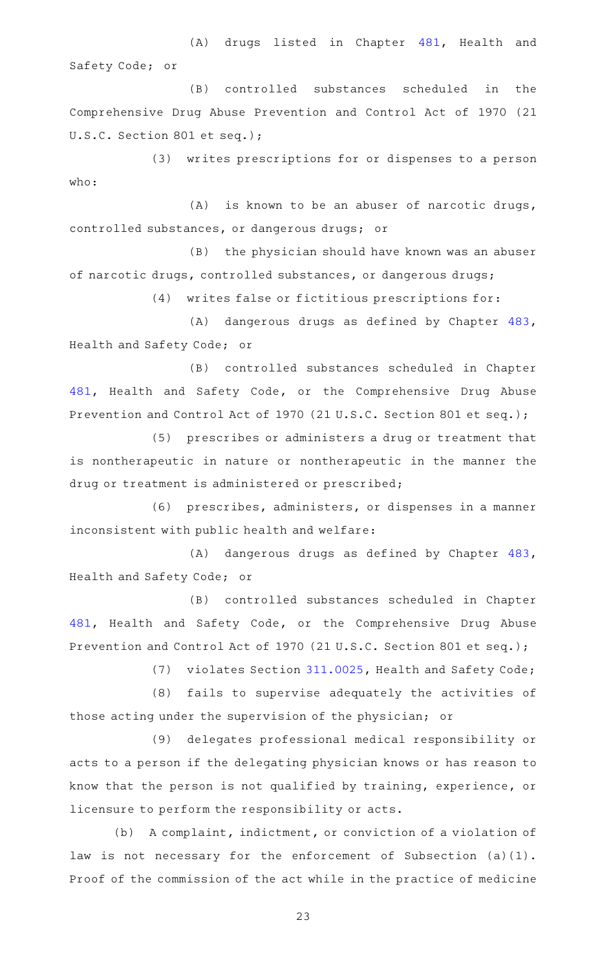(A) drugs listed in Chapter [481](http://www.statutes.legis.state.tx.us/GetStatute.aspx?Code=HS&Value=481), Health and Safety Code; or

(B) controlled substances scheduled in the Comprehensive Drug Abuse Prevention and Control Act of 1970 (21 U.S.C. Section 801 et seq.);

(3) writes prescriptions for or dispenses to a person who:

 $(A)$  is known to be an abuser of narcotic drugs, controlled substances, or dangerous drugs; or

(B) the physician should have known was an abuser of narcotic drugs, controlled substances, or dangerous drugs;

(4) writes false or fictitious prescriptions for:

(A) dangerous drugs as defined by Chapter [483](http://www.statutes.legis.state.tx.us/GetStatute.aspx?Code=HS&Value=483), Health and Safety Code; or

(B) controlled substances scheduled in Chapter [481,](http://www.statutes.legis.state.tx.us/GetStatute.aspx?Code=HS&Value=481) Health and Safety Code, or the Comprehensive Drug Abuse Prevention and Control Act of 1970 (21 U.S.C. Section 801 et seq.);

(5) prescribes or administers a drug or treatment that is nontherapeutic in nature or nontherapeutic in the manner the drug or treatment is administered or prescribed;

(6) prescribes, administers, or dispenses in a manner inconsistent with public health and welfare:

(A) dangerous drugs as defined by Chapter [483](http://www.statutes.legis.state.tx.us/GetStatute.aspx?Code=HS&Value=483), Health and Safety Code; or

(B) controlled substances scheduled in Chapter [481,](http://www.statutes.legis.state.tx.us/GetStatute.aspx?Code=HS&Value=481) Health and Safety Code, or the Comprehensive Drug Abuse Prevention and Control Act of 1970 (21 U.S.C. Section 801 et seq.);

(7) violates Section [311.0025,](http://www.statutes.legis.state.tx.us/GetStatute.aspx?Code=HS&Value=311.0025) Health and Safety Code;

(8) fails to supervise adequately the activities of those acting under the supervision of the physician; or

(9) delegates professional medical responsibility or acts to a person if the delegating physician knows or has reason to know that the person is not qualified by training, experience, or licensure to perform the responsibility or acts.

(b) A complaint, indictment, or conviction of a violation of law is not necessary for the enforcement of Subsection (a)(1). Proof of the commission of the act while in the practice of medicine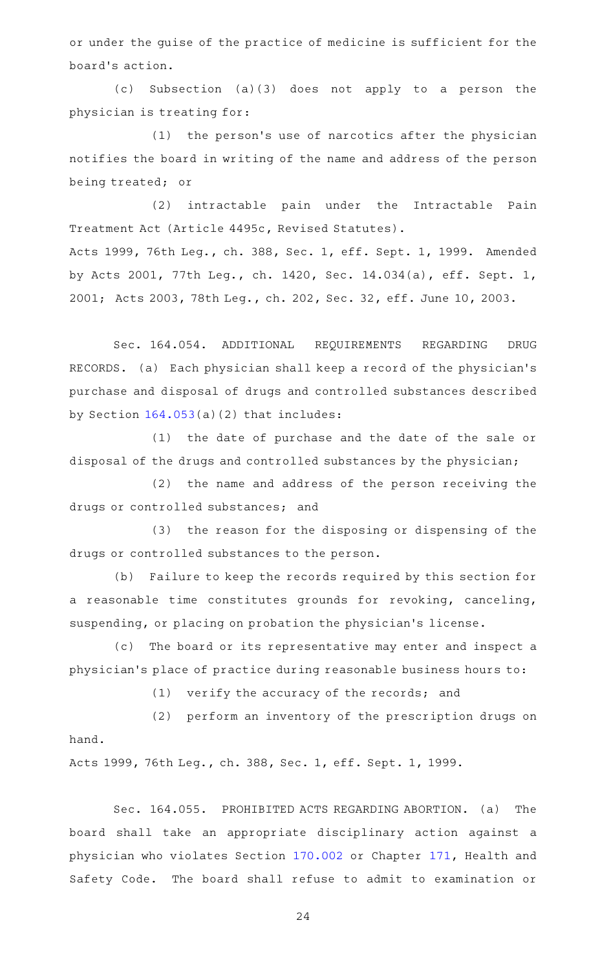or under the guise of the practice of medicine is sufficient for the board 's action.

(c) Subsection (a)(3) does not apply to a person the physician is treating for:

 $(1)$  the person's use of narcotics after the physician notifies the board in writing of the name and address of the person being treated; or

(2) intractable pain under the Intractable Pain Treatment Act (Article 4495c, Revised Statutes). Acts 1999, 76th Leg., ch. 388, Sec. 1, eff. Sept. 1, 1999. Amended by Acts 2001, 77th Leg., ch. 1420, Sec. 14.034(a), eff. Sept. 1, 2001; Acts 2003, 78th Leg., ch. 202, Sec. 32, eff. June 10, 2003.

Sec. 164.054. ADDITIONAL REQUIREMENTS REGARDING DRUG RECORDS. (a) Each physician shall keep a record of the physician 's purchase and disposal of drugs and controlled substances described by Section [164.053\(](http://www.statutes.legis.state.tx.us/GetStatute.aspx?Code=OC&Value=164.053)a)(2) that includes:

(1) the date of purchase and the date of the sale or disposal of the drugs and controlled substances by the physician;

(2) the name and address of the person receiving the drugs or controlled substances; and

(3) the reason for the disposing or dispensing of the drugs or controlled substances to the person.

(b) Failure to keep the records required by this section for a reasonable time constitutes grounds for revoking, canceling, suspending, or placing on probation the physician 's license.

(c) The board or its representative may enter and inspect a physician 's place of practice during reasonable business hours to:

(1) verify the accuracy of the records; and

(2) perform an inventory of the prescription drugs on hand.

Acts 1999, 76th Leg., ch. 388, Sec. 1, eff. Sept. 1, 1999.

Sec. 164.055. PROHIBITED ACTS REGARDING ABORTION. (a) The board shall take an appropriate disciplinary action against a physician who violates Section [170.002](http://www.statutes.legis.state.tx.us/GetStatute.aspx?Code=HS&Value=170.002) or Chapter [171](http://www.statutes.legis.state.tx.us/GetStatute.aspx?Code=HS&Value=171), Health and Safety Code. The board shall refuse to admit to examination or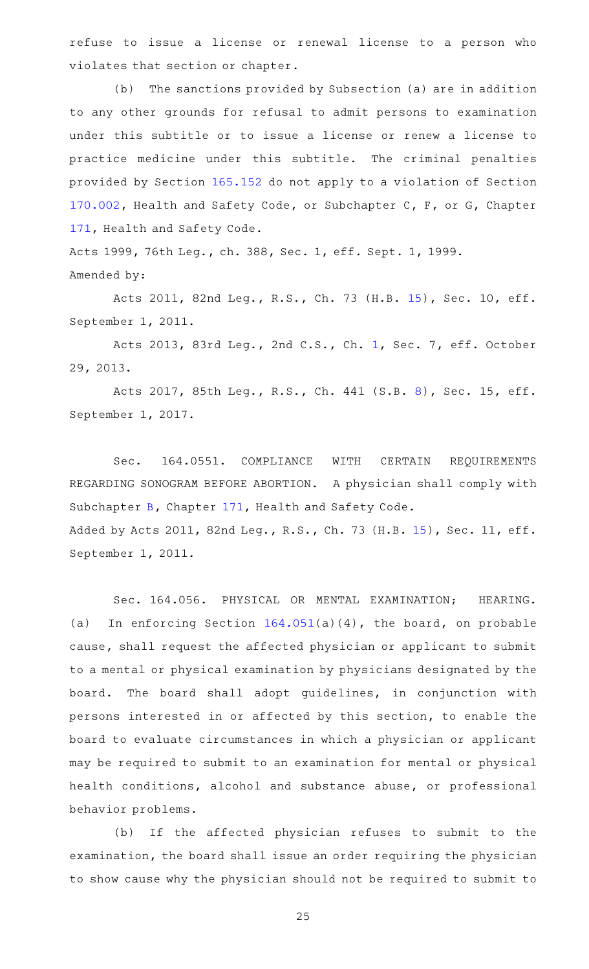refuse to issue a license or renewal license to a person who violates that section or chapter.

(b) The sanctions provided by Subsection (a) are in addition to any other grounds for refusal to admit persons to examination under this subtitle or to issue a license or renew a license to practice medicine under this subtitle. The criminal penalties provided by Section [165.152](http://www.statutes.legis.state.tx.us/GetStatute.aspx?Code=OC&Value=165.152) do not apply to a violation of Section [170.002,](http://www.statutes.legis.state.tx.us/GetStatute.aspx?Code=HS&Value=170.002) Health and Safety Code, or Subchapter C, F, or G, Chapter [171,](http://www.statutes.legis.state.tx.us/GetStatute.aspx?Code=HS&Value=171) Health and Safety Code.

Acts 1999, 76th Leg., ch. 388, Sec. 1, eff. Sept. 1, 1999. Amended by:

Acts 2011, 82nd Leg., R.S., Ch. 73 (H.B. [15\)](http://www.legis.state.tx.us/tlodocs/82R/billtext/html/HB00015F.HTM), Sec. 10, eff. September 1, 2011.

Acts 2013, 83rd Leg., 2nd C.S., Ch. [1,](http://www.legis.state.tx.us/tlodocs/832/billtext/html/HB00002F.HTM) Sec. 7, eff. October 29, 2013.

Acts 2017, 85th Leg., R.S., Ch. 441 (S.B. [8\)](http://www.legis.state.tx.us/tlodocs/85R/billtext/html/SB00008F.HTM), Sec. 15, eff. September 1, 2017.

Sec. 164.0551. COMPLIANCE WITH CERTAIN REQUIREMENTS REGARDING SONOGRAM BEFORE ABORTION. A physician shall comply with Subchapter [B](http://www.statutes.legis.state.tx.us/GetStatute.aspx?Code=HS&Value=171.011), Chapter [171](http://www.statutes.legis.state.tx.us/GetStatute.aspx?Code=HS&Value=171), Health and Safety Code. Added by Acts 2011, 82nd Leg., R.S., Ch. 73 (H.B. [15\)](http://www.legis.state.tx.us/tlodocs/82R/billtext/html/HB00015F.HTM), Sec. 11, eff. September 1, 2011.

Sec. 164.056. PHYSICAL OR MENTAL EXAMINATION; HEARING. (a) In enforcing Section [164.051\(](http://www.statutes.legis.state.tx.us/GetStatute.aspx?Code=OC&Value=164.051)a)(4), the board, on probable cause, shall request the affected physician or applicant to submit to a mental or physical examination by physicians designated by the board. The board shall adopt guidelines, in conjunction with persons interested in or affected by this section, to enable the board to evaluate circumstances in which a physician or applicant may be required to submit to an examination for mental or physical health conditions, alcohol and substance abuse, or professional behavior problems.

(b) If the affected physician refuses to submit to the examination, the board shall issue an order requiring the physician to show cause why the physician should not be required to submit to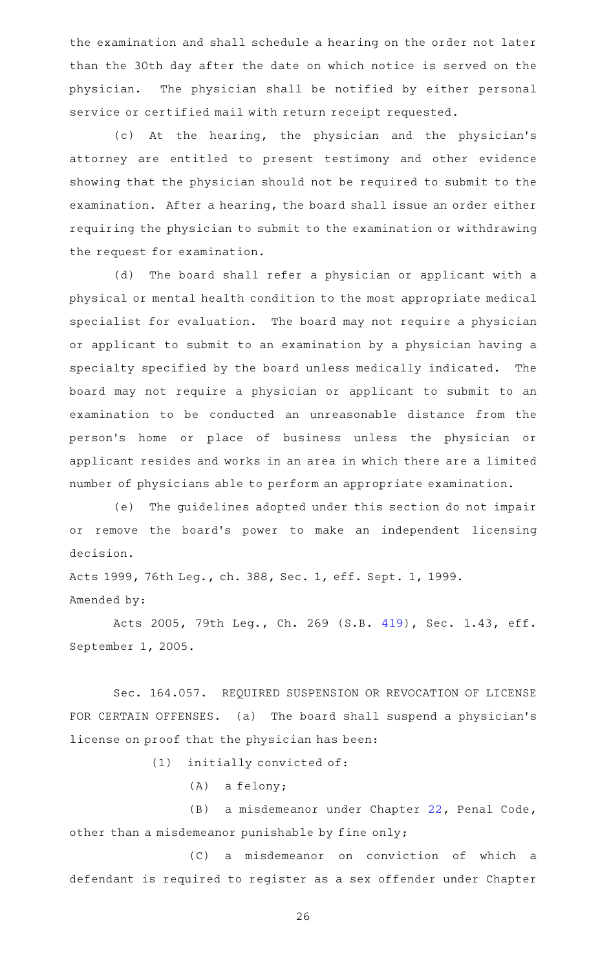the examination and shall schedule a hearing on the order not later than the 30th day after the date on which notice is served on the physician. The physician shall be notified by either personal service or certified mail with return receipt requested.

(c) At the hearing, the physician and the physician's attorney are entitled to present testimony and other evidence showing that the physician should not be required to submit to the examination. After a hearing, the board shall issue an order either requiring the physician to submit to the examination or withdrawing the request for examination.

(d) The board shall refer a physician or applicant with a physical or mental health condition to the most appropriate medical specialist for evaluation. The board may not require a physician or applicant to submit to an examination by a physician having a specialty specified by the board unless medically indicated. The board may not require a physician or applicant to submit to an examination to be conducted an unreasonable distance from the person 's home or place of business unless the physician or applicant resides and works in an area in which there are a limited number of physicians able to perform an appropriate examination.

(e) The guidelines adopted under this section do not impair or remove the board's power to make an independent licensing decision.

Acts 1999, 76th Leg., ch. 388, Sec. 1, eff. Sept. 1, 1999. Amended by:

Acts 2005, 79th Leg., Ch. 269 (S.B. [419](http://www.legis.state.tx.us/tlodocs/79R/billtext/html/SB00419F.HTM)), Sec. 1.43, eff. September 1, 2005.

Sec. 164.057. REQUIRED SUSPENSION OR REVOCATION OF LICENSE FOR CERTAIN OFFENSES. (a) The board shall suspend a physician 's license on proof that the physician has been:

 $(1)$  initially convicted of:

 $(A)$  a felony;

(B) a misdemeanor under Chapter [22,](http://www.statutes.legis.state.tx.us/GetStatute.aspx?Code=PE&Value=22) Penal Code, other than a misdemeanor punishable by fine only;

(C) a misdemeanor on conviction of which a defendant is required to register as a sex offender under Chapter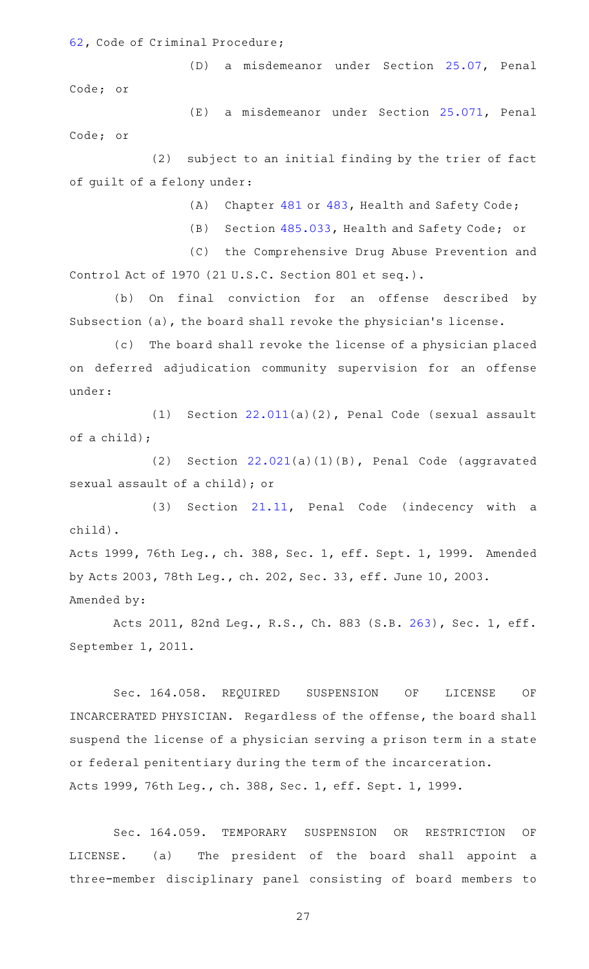[62](http://www.statutes.legis.state.tx.us/GetStatute.aspx?Code=CR&Value=62), Code of Criminal Procedure;

(D) a misdemeanor under Section [25.07,](http://www.statutes.legis.state.tx.us/GetStatute.aspx?Code=PE&Value=25.07) Penal Code; or

(E) a misdemeanor under Section [25.071](http://www.statutes.legis.state.tx.us/GetStatute.aspx?Code=PE&Value=25.071), Penal Code; or

(2) subject to an initial finding by the trier of fact of guilt of a felony under:

(A) Chapter [481](http://www.statutes.legis.state.tx.us/GetStatute.aspx?Code=HS&Value=481) or [483,](http://www.statutes.legis.state.tx.us/GetStatute.aspx?Code=HS&Value=483) Health and Safety Code;

(B) Section [485.033](http://www.statutes.legis.state.tx.us/GetStatute.aspx?Code=HS&Value=485.033), Health and Safety Code; or

(C) the Comprehensive Drug Abuse Prevention and Control Act of 1970 (21 U.S.C. Section 801 et seq.).

(b) On final conviction for an offense described by Subsection (a), the board shall revoke the physician 's license.

(c) The board shall revoke the license of a physician placed on deferred adjudication community supervision for an offense under:

(1) Section  $22.011(a)(2)$  $22.011(a)(2)$ , Penal Code (sexual assault of a child);

(2) Section  $22.021(a)(1)(B)$  $22.021(a)(1)(B)$ , Penal Code (aggravated sexual assault of a child); or

(3) Section  $21.11$ , Penal Code (indecency with a child).

Acts 1999, 76th Leg., ch. 388, Sec. 1, eff. Sept. 1, 1999. Amended by Acts 2003, 78th Leg., ch. 202, Sec. 33, eff. June 10, 2003. Amended by:

Acts 2011, 82nd Leg., R.S., Ch. 883 (S.B. [263](http://www.legis.state.tx.us/tlodocs/82R/billtext/html/SB00263F.HTM)), Sec. 1, eff. September 1, 2011.

Sec. 164.058. REQUIRED SUSPENSION OF LICENSE OF INCARCERATED PHYSICIAN. Regardless of the offense, the board shall suspend the license of a physician serving a prison term in a state or federal penitentiary during the term of the incarceration. Acts 1999, 76th Leg., ch. 388, Sec. 1, eff. Sept. 1, 1999.

Sec. 164.059. TEMPORARY SUSPENSION OR RESTRICTION OF LICENSE. (a) The president of the board shall appoint a three-member disciplinary panel consisting of board members to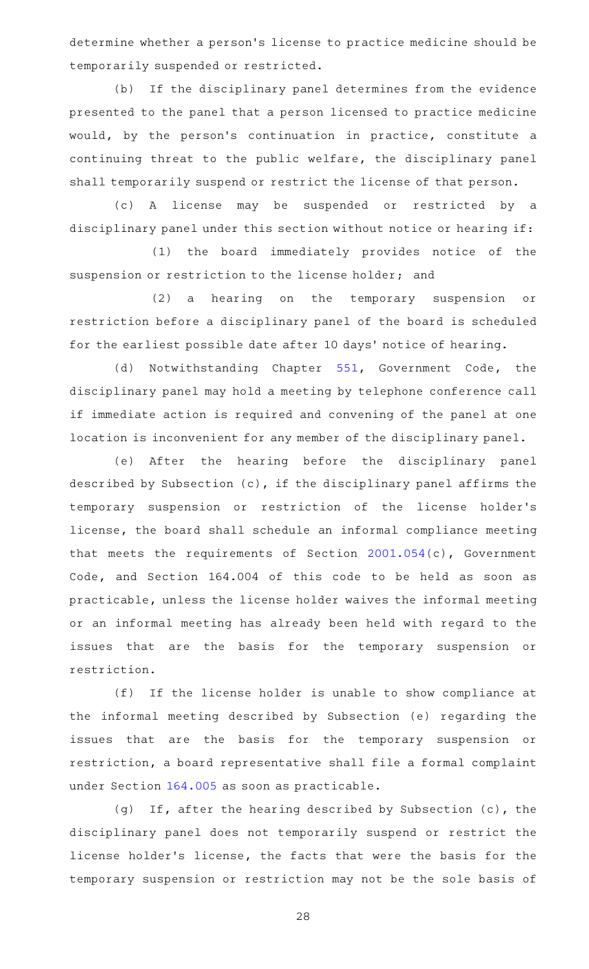determine whether a person 's license to practice medicine should be temporarily suspended or restricted.

(b) If the disciplinary panel determines from the evidence presented to the panel that a person licensed to practice medicine would, by the person's continuation in practice, constitute a continuing threat to the public welfare, the disciplinary panel shall temporarily suspend or restrict the license of that person.

(c)AAA license may be suspended or restricted by a disciplinary panel under this section without notice or hearing if:

(1) the board immediately provides notice of the suspension or restriction to the license holder; and

(2) a hearing on the temporary suspension or restriction before a disciplinary panel of the board is scheduled for the earliest possible date after 10 days ' notice of hearing.

(d) Notwithstanding Chapter [551](http://www.statutes.legis.state.tx.us/GetStatute.aspx?Code=GV&Value=551), Government Code, the disciplinary panel may hold a meeting by telephone conference call if immediate action is required and convening of the panel at one location is inconvenient for any member of the disciplinary panel.

(e) After the hearing before the disciplinary panel described by Subsection (c), if the disciplinary panel affirms the temporary suspension or restriction of the license holder 's license, the board shall schedule an informal compliance meeting that meets the requirements of Section [2001.054](http://www.statutes.legis.state.tx.us/GetStatute.aspx?Code=GV&Value=2001.054)(c), Government Code, and Section 164.004 of this code to be held as soon as practicable, unless the license holder waives the informal meeting or an informal meeting has already been held with regard to the issues that are the basis for the temporary suspension or restriction.

(f) If the license holder is unable to show compliance at the informal meeting described by Subsection (e) regarding the issues that are the basis for the temporary suspension or restriction, a board representative shall file a formal complaint under Section [164.005](http://www.statutes.legis.state.tx.us/GetStatute.aspx?Code=OC&Value=164.005) as soon as practicable.

(g) If, after the hearing described by Subsection (c), the disciplinary panel does not temporarily suspend or restrict the license holder 's license, the facts that were the basis for the temporary suspension or restriction may not be the sole basis of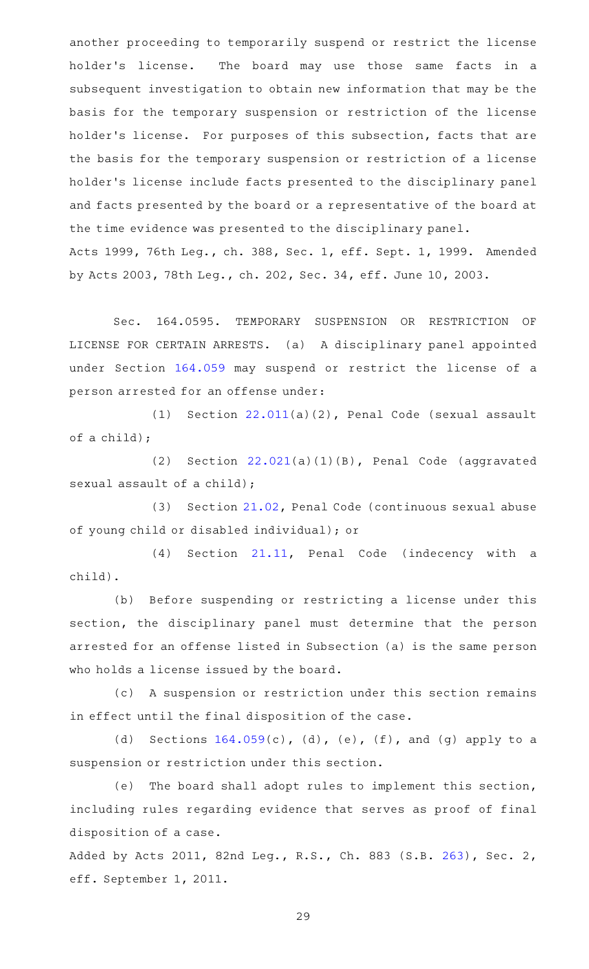another proceeding to temporarily suspend or restrict the license holder's license. The board may use those same facts in a subsequent investigation to obtain new information that may be the basis for the temporary suspension or restriction of the license holder 's license. For purposes of this subsection, facts that are the basis for the temporary suspension or restriction of a license holder 's license include facts presented to the disciplinary panel and facts presented by the board or a representative of the board at the time evidence was presented to the disciplinary panel. Acts 1999, 76th Leg., ch. 388, Sec. 1, eff. Sept. 1, 1999. Amended by Acts 2003, 78th Leg., ch. 202, Sec. 34, eff. June 10, 2003.

Sec. 164.0595. TEMPORARY SUSPENSION OR RESTRICTION OF LICENSE FOR CERTAIN ARRESTS. (a) A disciplinary panel appointed under Section [164.059](http://www.statutes.legis.state.tx.us/GetStatute.aspx?Code=OC&Value=164.059) may suspend or restrict the license of a person arrested for an offense under:

(1) Section  $22.011(a)(2)$  $22.011(a)(2)$ , Penal Code (sexual assault of a child);

(2) Section  $22.021(a)(1)(B)$  $22.021(a)(1)(B)$ , Penal Code (aggravated sexual assault of a child);

(3) Section [21.02](http://www.statutes.legis.state.tx.us/GetStatute.aspx?Code=PE&Value=21.02), Penal Code (continuous sexual abuse of young child or disabled individual); or

(4) Section [21.11,](http://www.statutes.legis.state.tx.us/GetStatute.aspx?Code=PE&Value=21.11) Penal Code (indecency with a child).

(b) Before suspending or restricting a license under this section, the disciplinary panel must determine that the person arrested for an offense listed in Subsection (a) is the same person who holds a license issued by the board.

(c) A suspension or restriction under this section remains in effect until the final disposition of the case.

(d) Sections  $164.059(c)$  $164.059(c)$ , (d), (e), (f), and (g) apply to a suspension or restriction under this section.

(e) The board shall adopt rules to implement this section, including rules regarding evidence that serves as proof of final disposition of a case.

Added by Acts 2011, 82nd Leg., R.S., Ch. 883 (S.B. [263](http://www.legis.state.tx.us/tlodocs/82R/billtext/html/SB00263F.HTM)), Sec. 2, eff. September 1, 2011.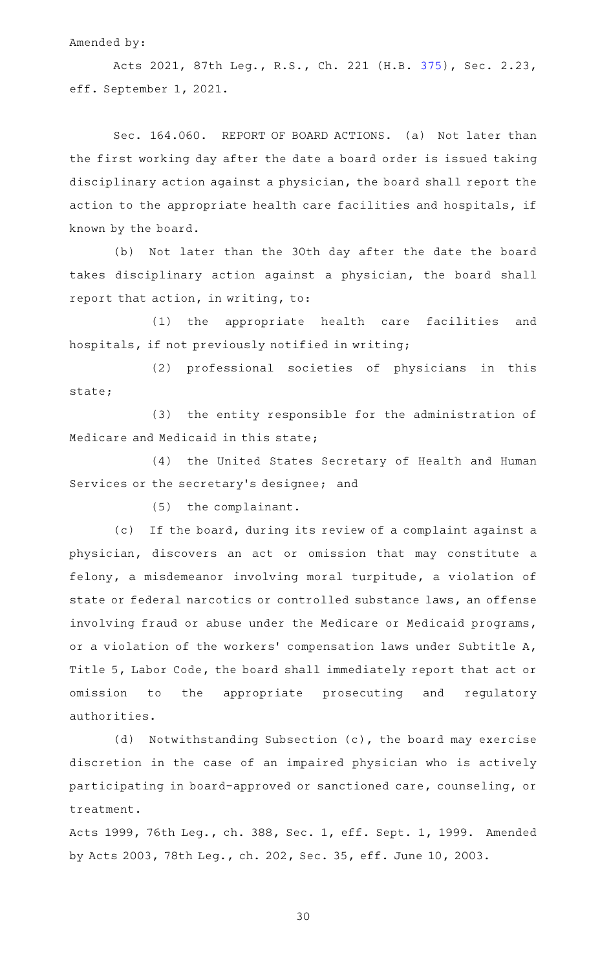#### Amended by:

Acts 2021, 87th Leg., R.S., Ch. 221 (H.B. [375](http://www.legis.state.tx.us/tlodocs/87R/billtext/html/HB00375F.HTM)), Sec. 2.23, eff. September 1, 2021.

Sec. 164.060. REPORT OF BOARD ACTIONS. (a) Not later than the first working day after the date a board order is issued taking disciplinary action against a physician, the board shall report the action to the appropriate health care facilities and hospitals, if known by the board.

(b) Not later than the 30th day after the date the board takes disciplinary action against a physician, the board shall report that action, in writing, to:

(1) the appropriate health care facilities and hospitals, if not previously notified in writing;

(2) professional societies of physicians in this state;

(3) the entity responsible for the administration of Medicare and Medicaid in this state;

(4) the United States Secretary of Health and Human Services or the secretary's designee; and

 $(5)$  the complainant.

(c) If the board, during its review of a complaint against a physician, discovers an act or omission that may constitute a felony, a misdemeanor involving moral turpitude, a violation of state or federal narcotics or controlled substance laws, an offense involving fraud or abuse under the Medicare or Medicaid programs, or a violation of the workers' compensation laws under Subtitle A, Title 5, Labor Code, the board shall immediately report that act or omission to the appropriate prosecuting and regulatory authorities.

(d) Notwithstanding Subsection (c), the board may exercise discretion in the case of an impaired physician who is actively participating in board-approved or sanctioned care, counseling, or treatment.

Acts 1999, 76th Leg., ch. 388, Sec. 1, eff. Sept. 1, 1999. Amended by Acts 2003, 78th Leg., ch. 202, Sec. 35, eff. June 10, 2003.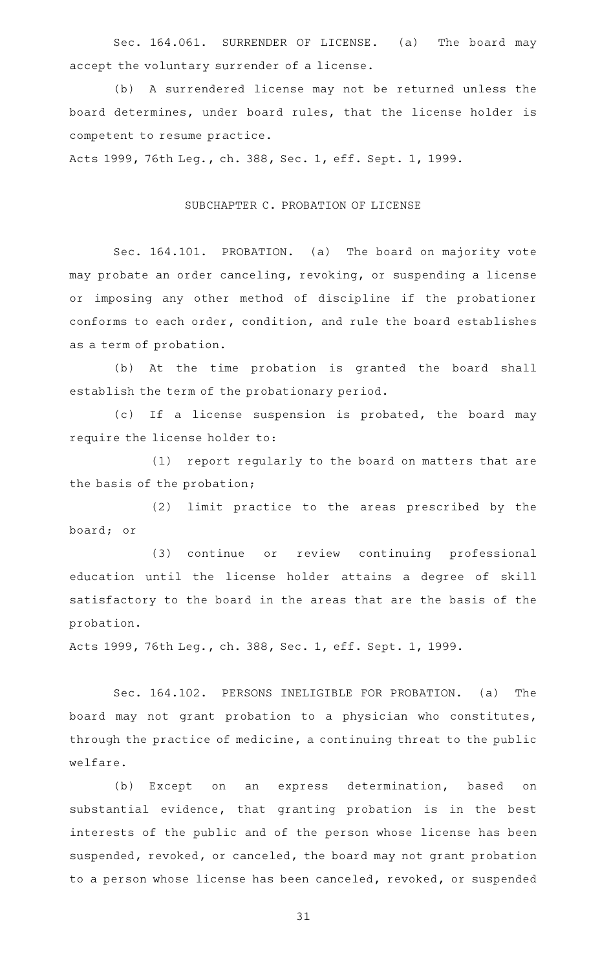Sec. 164.061. SURRENDER OF LICENSE. (a) The board may accept the voluntary surrender of a license.

(b) A surrendered license may not be returned unless the board determines, under board rules, that the license holder is competent to resume practice.

Acts 1999, 76th Leg., ch. 388, Sec. 1, eff. Sept. 1, 1999.

## SUBCHAPTER C. PROBATION OF LICENSE

Sec. 164.101. PROBATION. (a) The board on majority vote may probate an order canceling, revoking, or suspending a license or imposing any other method of discipline if the probationer conforms to each order, condition, and rule the board establishes as a term of probation.

(b) At the time probation is granted the board shall establish the term of the probationary period.

(c) If a license suspension is probated, the board may require the license holder to:

(1) report regularly to the board on matters that are the basis of the probation;

(2) limit practice to the areas prescribed by the board; or

(3) continue or review continuing professional education until the license holder attains a degree of skill satisfactory to the board in the areas that are the basis of the probation.

Acts 1999, 76th Leg., ch. 388, Sec. 1, eff. Sept. 1, 1999.

Sec. 164.102. PERSONS INELIGIBLE FOR PROBATION. (a) The board may not grant probation to a physician who constitutes, through the practice of medicine, a continuing threat to the public welfare.

(b) Except on an express determination, based on substantial evidence, that granting probation is in the best interests of the public and of the person whose license has been suspended, revoked, or canceled, the board may not grant probation to a person whose license has been canceled, revoked, or suspended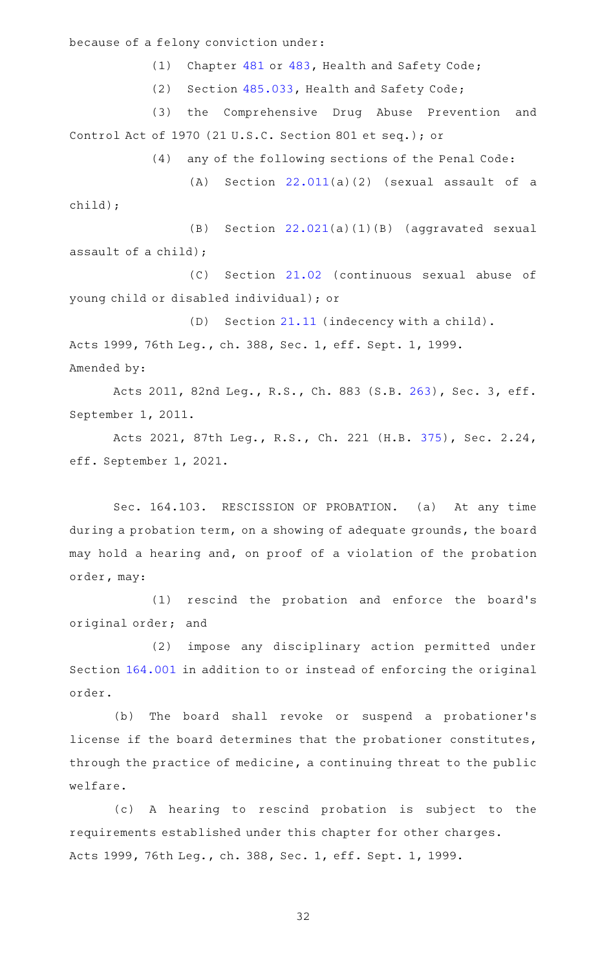because of a felony conviction under:

(1) Chapter [481](http://www.statutes.legis.state.tx.us/GetStatute.aspx?Code=HS&Value=481) or [483,](http://www.statutes.legis.state.tx.us/GetStatute.aspx?Code=HS&Value=483) Health and Safety Code;

(2) Section [485.033,](http://www.statutes.legis.state.tx.us/GetStatute.aspx?Code=HS&Value=485.033) Health and Safety Code;

(3) the Comprehensive Drug Abuse Prevention and Control Act of 1970 (21 U.S.C. Section 801 et seq.); or

(4) any of the following sections of the Penal Code:

(A) Section  $22.011(a)(2)$  $22.011(a)(2)$  (sexual assault of a child);

 $(B)$  Section  $22.021(a)(1)(B)$  $22.021(a)(1)(B)$  (aggravated sexual assault of a child);

(C) Section [21.02](http://www.statutes.legis.state.tx.us/GetStatute.aspx?Code=PE&Value=21.02) (continuous sexual abuse of young child or disabled individual); or

(D) Section [21.11](http://www.statutes.legis.state.tx.us/GetStatute.aspx?Code=PE&Value=21.11) (indecency with a child). Acts 1999, 76th Leg., ch. 388, Sec. 1, eff. Sept. 1, 1999. Amended by:

Acts 2011, 82nd Leg., R.S., Ch. 883 (S.B. [263](http://www.legis.state.tx.us/tlodocs/82R/billtext/html/SB00263F.HTM)), Sec. 3, eff. September 1, 2011.

Acts 2021, 87th Leg., R.S., Ch. 221 (H.B. [375](http://www.legis.state.tx.us/tlodocs/87R/billtext/html/HB00375F.HTM)), Sec. 2.24, eff. September 1, 2021.

Sec. 164.103. RESCISSION OF PROBATION. (a) At any time during a probation term, on a showing of adequate grounds, the board may hold a hearing and, on proof of a violation of the probation order, may:

(1) rescind the probation and enforce the board's original order; and

(2) impose any disciplinary action permitted under Section [164.001](http://www.statutes.legis.state.tx.us/GetStatute.aspx?Code=OC&Value=164.001) in addition to or instead of enforcing the original order.

(b) The board shall revoke or suspend a probationer's license if the board determines that the probationer constitutes, through the practice of medicine, a continuing threat to the public welfare.

(c)AAA hearing to rescind probation is subject to the requirements established under this chapter for other charges. Acts 1999, 76th Leg., ch. 388, Sec. 1, eff. Sept. 1, 1999.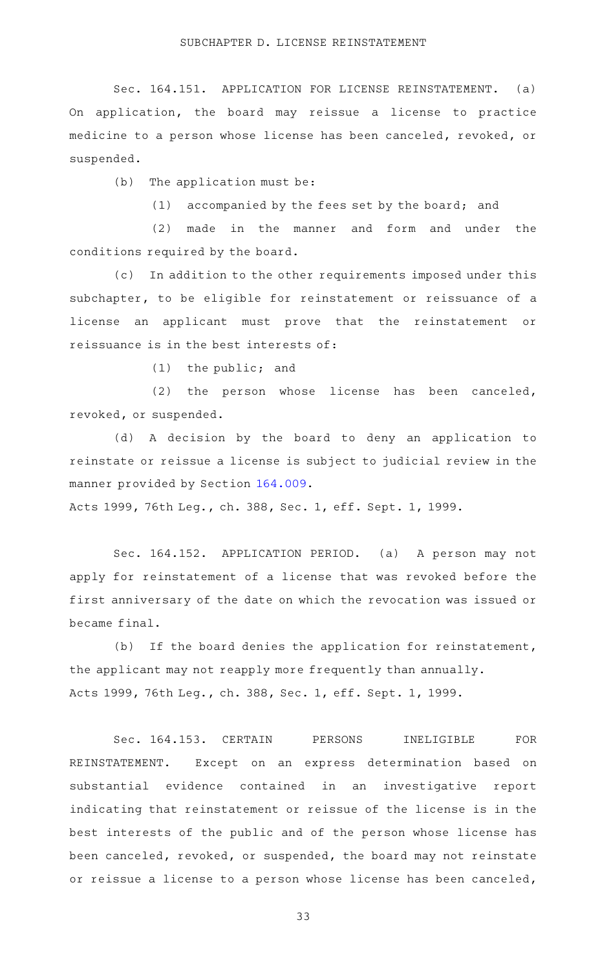Sec. 164.151. APPLICATION FOR LICENSE REINSTATEMENT. (a) On application, the board may reissue a license to practice medicine to a person whose license has been canceled, revoked, or suspended.

 $(b)$  The application must be:

(1) accompanied by the fees set by the board; and

(2) made in the manner and form and under the conditions required by the board.

(c) In addition to the other requirements imposed under this subchapter, to be eligible for reinstatement or reissuance of a license an applicant must prove that the reinstatement or reissuance is in the best interests of:

 $(1)$  the public; and

(2) the person whose license has been canceled, revoked, or suspended.

(d)AAA decision by the board to deny an application to reinstate or reissue a license is subject to judicial review in the manner provided by Section [164.009.](http://www.statutes.legis.state.tx.us/GetStatute.aspx?Code=OC&Value=164.009)

Acts 1999, 76th Leg., ch. 388, Sec. 1, eff. Sept. 1, 1999.

Sec. 164.152. APPLICATION PERIOD. (a) A person may not apply for reinstatement of a license that was revoked before the first anniversary of the date on which the revocation was issued or became final.

 $(b)$  If the board denies the application for reinstatement, the applicant may not reapply more frequently than annually. Acts 1999, 76th Leg., ch. 388, Sec. 1, eff. Sept. 1, 1999.

Sec. 164.153. CERTAIN PERSONS INELIGIBLE FOR REINSTATEMENT. Except on an express determination based on substantial evidence contained in an investigative report indicating that reinstatement or reissue of the license is in the best interests of the public and of the person whose license has been canceled, revoked, or suspended, the board may not reinstate or reissue a license to a person whose license has been canceled,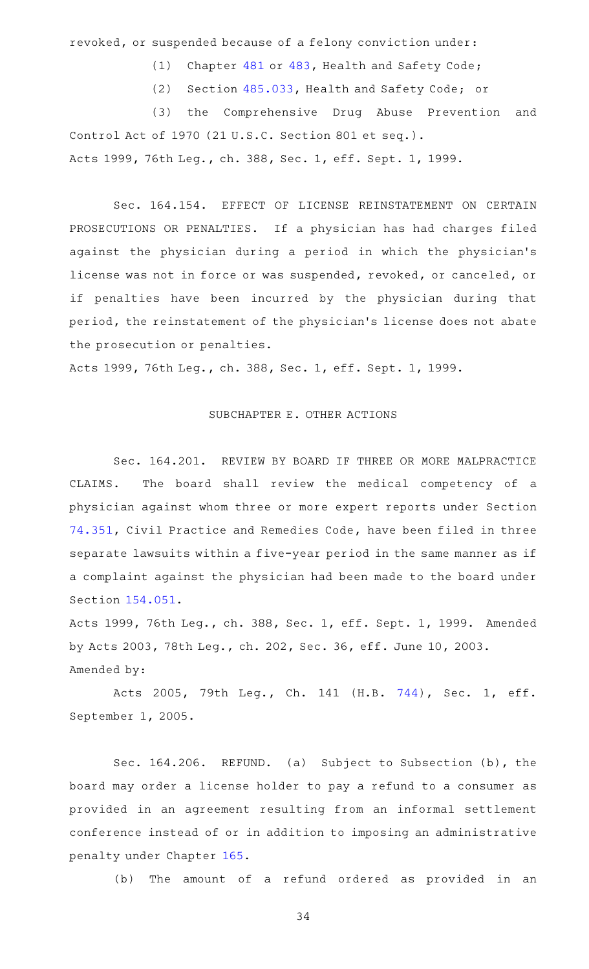revoked, or suspended because of a felony conviction under:

(1) Chapter [481](http://www.statutes.legis.state.tx.us/GetStatute.aspx?Code=HS&Value=481) or [483,](http://www.statutes.legis.state.tx.us/GetStatute.aspx?Code=HS&Value=483) Health and Safety Code;

(2) Section [485.033,](http://www.statutes.legis.state.tx.us/GetStatute.aspx?Code=HS&Value=485.033) Health and Safety Code; or

(3) the Comprehensive Drug Abuse Prevention and Control Act of 1970 (21 U.S.C. Section 801 et seq.). Acts 1999, 76th Leg., ch. 388, Sec. 1, eff. Sept. 1, 1999.

Sec. 164.154. EFFECT OF LICENSE REINSTATEMENT ON CERTAIN PROSECUTIONS OR PENALTIES. If a physician has had charges filed against the physician during a period in which the physician 's license was not in force or was suspended, revoked, or canceled, or if penalties have been incurred by the physician during that period, the reinstatement of the physician 's license does not abate the prosecution or penalties.

Acts 1999, 76th Leg., ch. 388, Sec. 1, eff. Sept. 1, 1999.

## SUBCHAPTER E. OTHER ACTIONS

Sec. 164.201. REVIEW BY BOARD IF THREE OR MORE MALPRACTICE CLAIMS. The board shall review the medical competency of a physician against whom three or more expert reports under Section [74.351](http://www.statutes.legis.state.tx.us/GetStatute.aspx?Code=CP&Value=74.351), Civil Practice and Remedies Code, have been filed in three separate lawsuits within a five-year period in the same manner as if a complaint against the physician had been made to the board under Section [154.051.](http://www.statutes.legis.state.tx.us/GetStatute.aspx?Code=OC&Value=154.051)

Acts 1999, 76th Leg., ch. 388, Sec. 1, eff. Sept. 1, 1999. Amended by Acts 2003, 78th Leg., ch. 202, Sec. 36, eff. June 10, 2003. Amended by:

Acts 2005, 79th Leg., Ch. 141 (H.B. [744\)](http://www.legis.state.tx.us/tlodocs/79R/billtext/html/HB00744F.HTM), Sec. 1, eff. September 1, 2005.

Sec. 164.206. REFUND. (a) Subject to Subsection (b), the board may order a license holder to pay a refund to a consumer as provided in an agreement resulting from an informal settlement conference instead of or in addition to imposing an administrative penalty under Chapter [165](http://www.statutes.legis.state.tx.us/GetStatute.aspx?Code=OC&Value=165).

(b) The amount of a refund ordered as provided in an